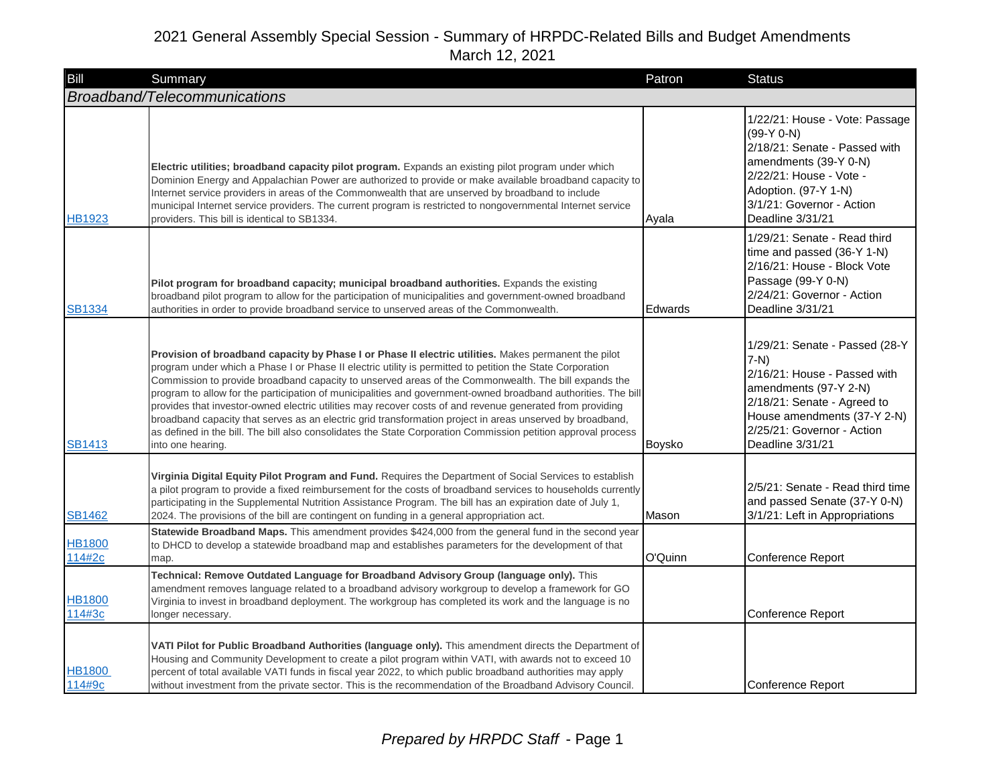| Bill                    | Summary                                                                                                                                                                                                                                                                                                                                                                                                                                                                                                                                                                                                                                                                                                                                                                                                    | Patron  | <b>Status</b>                                                                                                                                                                                                    |
|-------------------------|------------------------------------------------------------------------------------------------------------------------------------------------------------------------------------------------------------------------------------------------------------------------------------------------------------------------------------------------------------------------------------------------------------------------------------------------------------------------------------------------------------------------------------------------------------------------------------------------------------------------------------------------------------------------------------------------------------------------------------------------------------------------------------------------------------|---------|------------------------------------------------------------------------------------------------------------------------------------------------------------------------------------------------------------------|
|                         | Broadband/Telecommunications                                                                                                                                                                                                                                                                                                                                                                                                                                                                                                                                                                                                                                                                                                                                                                               |         |                                                                                                                                                                                                                  |
| <b>HB1923</b>           | Electric utilities; broadband capacity pilot program. Expands an existing pilot program under which<br>Dominion Energy and Appalachian Power are authorized to provide or make available broadband capacity to<br>Internet service providers in areas of the Commonwealth that are unserved by broadband to include<br>municipal Internet service providers. The current program is restricted to nongovernmental Internet service<br>providers. This bill is identical to SB1334.                                                                                                                                                                                                                                                                                                                         | Ayala   | 1/22/21: House - Vote: Passage<br>$(99-Y 0-N)$<br>2/18/21: Senate - Passed with<br>amendments (39-Y 0-N)<br>2/22/21: House - Vote -<br>Adoption. (97-Y 1-N)<br>3/1/21: Governor - Action<br>Deadline 3/31/21     |
| <b>SB1334</b>           | Pilot program for broadband capacity; municipal broadband authorities. Expands the existing<br>broadband pilot program to allow for the participation of municipalities and government-owned broadband<br>authorities in order to provide broadband service to unserved areas of the Commonwealth.                                                                                                                                                                                                                                                                                                                                                                                                                                                                                                         | Edwards | 1/29/21: Senate - Read third<br>time and passed (36-Y 1-N)<br>2/16/21: House - Block Vote<br>Passage (99-Y 0-N)<br>2/24/21: Governor - Action<br>Deadline 3/31/21                                                |
| <b>SB1413</b>           | Provision of broadband capacity by Phase I or Phase II electric utilities. Makes permanent the pilot<br>program under which a Phase I or Phase II electric utility is permitted to petition the State Corporation<br>Commission to provide broadband capacity to unserved areas of the Commonwealth. The bill expands the<br>program to allow for the participation of municipalities and government-owned broadband authorities. The bill<br>provides that investor-owned electric utilities may recover costs of and revenue generated from providing<br>broadband capacity that serves as an electric grid transformation project in areas unserved by broadband,<br>as defined in the bill. The bill also consolidates the State Corporation Commission petition approval process<br>into one hearing. | Boysko  | 1/29/21: Senate - Passed (28-Y<br>$7-N$<br>2/16/21: House - Passed with<br>amendments (97-Y 2-N)<br>2/18/21: Senate - Agreed to<br>House amendments (37-Y 2-N)<br>2/25/21: Governor - Action<br>Deadline 3/31/21 |
| <b>SB1462</b>           | Virginia Digital Equity Pilot Program and Fund. Requires the Department of Social Services to establish<br>a pilot program to provide a fixed reimbursement for the costs of broadband services to households currently<br>participating in the Supplemental Nutrition Assistance Program. The bill has an expiration date of July 1,<br>2024. The provisions of the bill are contingent on funding in a general appropriation act.                                                                                                                                                                                                                                                                                                                                                                        | Mason   | 2/5/21: Senate - Read third time<br>and passed Senate (37-Y 0-N)<br>3/1/21: Left in Appropriations                                                                                                               |
| <b>HB1800</b><br>114#2c | Statewide Broadband Maps. This amendment provides \$424,000 from the general fund in the second year<br>to DHCD to develop a statewide broadband map and establishes parameters for the development of that<br>map.                                                                                                                                                                                                                                                                                                                                                                                                                                                                                                                                                                                        | O'Quinn | Conference Report                                                                                                                                                                                                |
| <b>HB1800</b><br>114#3c | Technical: Remove Outdated Language for Broadband Advisory Group (language only). This<br>amendment removes language related to a broadband advisory workgroup to develop a framework for GO<br>Virginia to invest in broadband deployment. The workgroup has completed its work and the language is no<br>longer necessary.                                                                                                                                                                                                                                                                                                                                                                                                                                                                               |         | Conference Report                                                                                                                                                                                                |
| <b>HB1800</b><br>114#9c | VATI Pilot for Public Broadband Authorities (language only). This amendment directs the Department of<br>Housing and Community Development to create a pilot program within VATI, with awards not to exceed 10<br>percent of total available VATI funds in fiscal year 2022, to which public broadband authorities may apply<br>without investment from the private sector. This is the recommendation of the Broadband Advisory Council.                                                                                                                                                                                                                                                                                                                                                                  |         | Conference Report                                                                                                                                                                                                |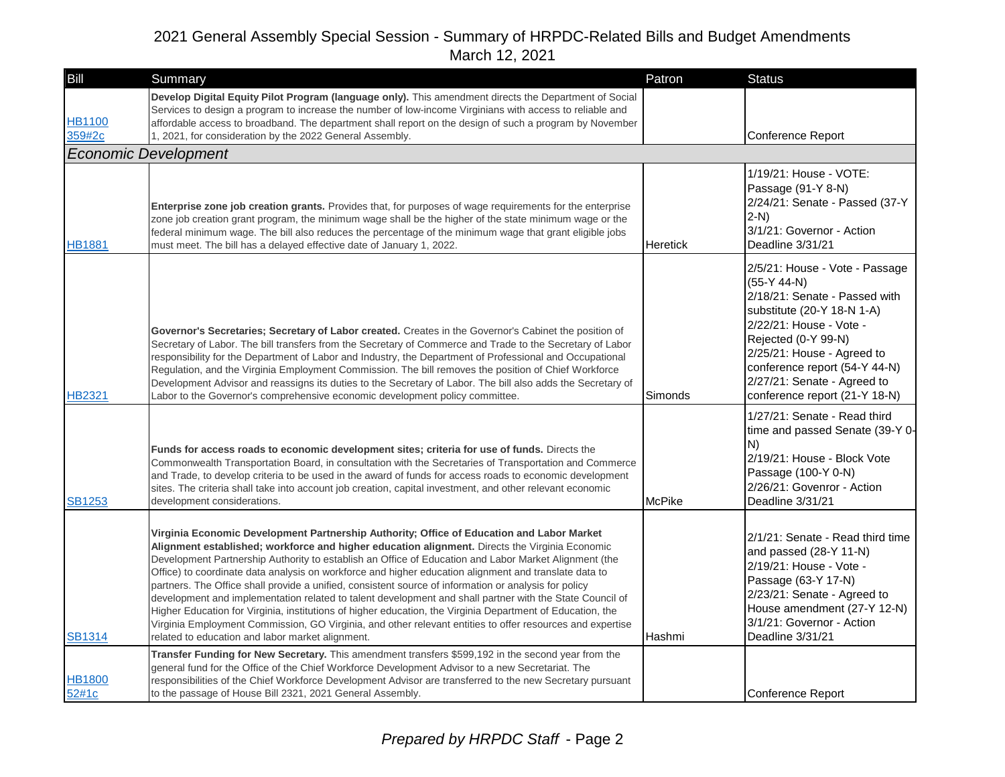| Bill                    | Summary                                                                                                                                                                                                                                                                                                                                                                                                                                                                                                                                                                                                                                                                                                                                                                                                                                                                                                           | Patron        | <b>Status</b>                                                                                                                                                                                                                                                                                   |
|-------------------------|-------------------------------------------------------------------------------------------------------------------------------------------------------------------------------------------------------------------------------------------------------------------------------------------------------------------------------------------------------------------------------------------------------------------------------------------------------------------------------------------------------------------------------------------------------------------------------------------------------------------------------------------------------------------------------------------------------------------------------------------------------------------------------------------------------------------------------------------------------------------------------------------------------------------|---------------|-------------------------------------------------------------------------------------------------------------------------------------------------------------------------------------------------------------------------------------------------------------------------------------------------|
| <b>HB1100</b><br>359#2c | Develop Digital Equity Pilot Program (language only). This amendment directs the Department of Social<br>Services to design a program to increase the number of low-income Virginians with access to reliable and<br>affordable access to broadband. The department shall report on the design of such a program by November<br>1, 2021, for consideration by the 2022 General Assembly.                                                                                                                                                                                                                                                                                                                                                                                                                                                                                                                          |               | Conference Report                                                                                                                                                                                                                                                                               |
|                         | <b>Economic Development</b>                                                                                                                                                                                                                                                                                                                                                                                                                                                                                                                                                                                                                                                                                                                                                                                                                                                                                       |               |                                                                                                                                                                                                                                                                                                 |
| <b>HB1881</b>           | <b>Enterprise zone job creation grants.</b> Provides that, for purposes of wage requirements for the enterprise<br>zone job creation grant program, the minimum wage shall be the higher of the state minimum wage or the<br>federal minimum wage. The bill also reduces the percentage of the minimum wage that grant eligible jobs<br>must meet. The bill has a delayed effective date of January 1, 2022.                                                                                                                                                                                                                                                                                                                                                                                                                                                                                                      | Heretick      | 1/19/21: House - VOTE:<br>Passage (91-Y 8-N)<br>2/24/21: Senate - Passed (37-Y<br>$2-N$<br>3/1/21: Governor - Action<br>Deadline 3/31/21                                                                                                                                                        |
| HB2321                  | Governor's Secretaries; Secretary of Labor created. Creates in the Governor's Cabinet the position of<br>Secretary of Labor. The bill transfers from the Secretary of Commerce and Trade to the Secretary of Labor<br>responsibility for the Department of Labor and Industry, the Department of Professional and Occupational<br>Regulation, and the Virginia Employment Commission. The bill removes the position of Chief Workforce<br>Development Advisor and reassigns its duties to the Secretary of Labor. The bill also adds the Secretary of<br>Labor to the Governor's comprehensive economic development policy committee.                                                                                                                                                                                                                                                                             | Simonds       | 2/5/21: House - Vote - Passage<br>$(55-Y 44-N)$<br>2/18/21: Senate - Passed with<br>substitute (20-Y 18-N 1-A)<br>2/22/21: House - Vote -<br>Rejected (0-Y 99-N)<br>2/25/21: House - Agreed to<br>conference report (54-Y 44-N)<br>2/27/21: Senate - Agreed to<br>conference report (21-Y 18-N) |
| <b>SB1253</b>           | Funds for access roads to economic development sites; criteria for use of funds. Directs the<br>Commonwealth Transportation Board, in consultation with the Secretaries of Transportation and Commerce<br>and Trade, to develop criteria to be used in the award of funds for access roads to economic development<br>sites. The criteria shall take into account job creation, capital investment, and other relevant economic<br>development considerations.                                                                                                                                                                                                                                                                                                                                                                                                                                                    | <b>McPike</b> | 1/27/21: Senate - Read third<br>time and passed Senate (39-Y 0-<br>IN)<br>2/19/21: House - Block Vote<br>Passage (100-Y 0-N)<br>2/26/21: Govenror - Action<br>Deadline 3/31/21                                                                                                                  |
| <b>SB1314</b>           | Virginia Economic Development Partnership Authority; Office of Education and Labor Market<br>Alignment established; workforce and higher education alignment. Directs the Virginia Economic<br>Development Partnership Authority to establish an Office of Education and Labor Market Alignment (the<br>Office) to coordinate data analysis on workforce and higher education alignment and translate data to<br>partners. The Office shall provide a unified, consistent source of information or analysis for policy<br>development and implementation related to talent development and shall partner with the State Council of<br>Higher Education for Virginia, institutions of higher education, the Virginia Department of Education, the<br>Virginia Employment Commission, GO Virginia, and other relevant entities to offer resources and expertise<br>related to education and labor market alignment. | Hashmi        | 2/1/21: Senate - Read third time<br>and passed (28-Y 11-N)<br>2/19/21: House - Vote -<br>Passage (63-Y 17-N)<br>2/23/21: Senate - Agreed to<br>House amendment (27-Y 12-N)<br>3/1/21: Governor - Action<br>Deadline 3/31/21                                                                     |
| <b>HB1800</b><br>52#1c  | Transfer Funding for New Secretary. This amendment transfers \$599,192 in the second year from the<br>general fund for the Office of the Chief Workforce Development Advisor to a new Secretariat. The<br>responsibilities of the Chief Workforce Development Advisor are transferred to the new Secretary pursuant<br>to the passage of House Bill 2321, 2021 General Assembly.                                                                                                                                                                                                                                                                                                                                                                                                                                                                                                                                  |               | Conference Report                                                                                                                                                                                                                                                                               |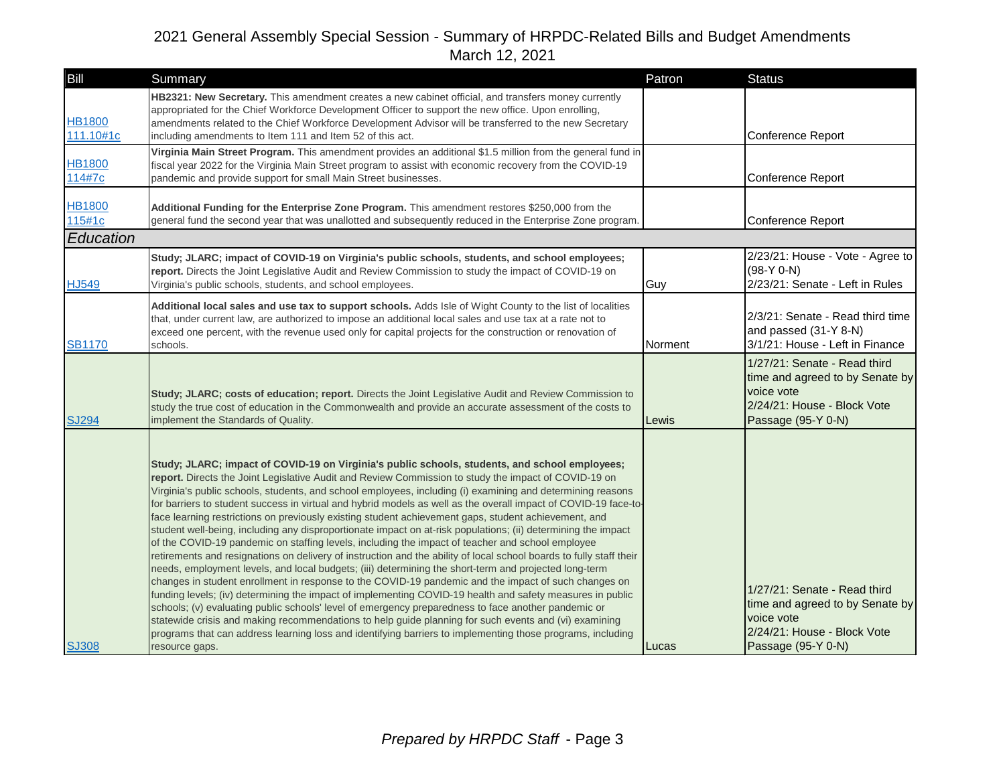| Bill                       | Summary                                                                                                                                                                                                                                                                                                                                                                                                                                                                                                                                                                                                                                                                                                                                                                                                                                                                                                                                                                                                                                                                                                                                                                                                                                                                                                                                                                                                                                                                                                                                                                   | Patron  | <b>Status</b>                                                                                                                      |
|----------------------------|---------------------------------------------------------------------------------------------------------------------------------------------------------------------------------------------------------------------------------------------------------------------------------------------------------------------------------------------------------------------------------------------------------------------------------------------------------------------------------------------------------------------------------------------------------------------------------------------------------------------------------------------------------------------------------------------------------------------------------------------------------------------------------------------------------------------------------------------------------------------------------------------------------------------------------------------------------------------------------------------------------------------------------------------------------------------------------------------------------------------------------------------------------------------------------------------------------------------------------------------------------------------------------------------------------------------------------------------------------------------------------------------------------------------------------------------------------------------------------------------------------------------------------------------------------------------------|---------|------------------------------------------------------------------------------------------------------------------------------------|
| <b>HB1800</b><br>111.10#1c | HB2321: New Secretary. This amendment creates a new cabinet official, and transfers money currently<br>appropriated for the Chief Workforce Development Officer to support the new office. Upon enrolling,<br>amendments related to the Chief Workforce Development Advisor will be transferred to the new Secretary<br>including amendments to Item 111 and Item 52 of this act.                                                                                                                                                                                                                                                                                                                                                                                                                                                                                                                                                                                                                                                                                                                                                                                                                                                                                                                                                                                                                                                                                                                                                                                         |         | Conference Report                                                                                                                  |
| <b>HB1800</b><br>114#7c    | Virginia Main Street Program. This amendment provides an additional \$1.5 million from the general fund in<br>fiscal year 2022 for the Virginia Main Street program to assist with economic recovery from the COVID-19<br>pandemic and provide support for small Main Street businesses.                                                                                                                                                                                                                                                                                                                                                                                                                                                                                                                                                                                                                                                                                                                                                                                                                                                                                                                                                                                                                                                                                                                                                                                                                                                                                  |         | Conference Report                                                                                                                  |
| <b>HB1800</b><br>115#1c    | Additional Funding for the Enterprise Zone Program. This amendment restores \$250,000 from the<br>general fund the second year that was unallotted and subsequently reduced in the Enterprise Zone program.                                                                                                                                                                                                                                                                                                                                                                                                                                                                                                                                                                                                                                                                                                                                                                                                                                                                                                                                                                                                                                                                                                                                                                                                                                                                                                                                                               |         | Conference Report                                                                                                                  |
| Education                  |                                                                                                                                                                                                                                                                                                                                                                                                                                                                                                                                                                                                                                                                                                                                                                                                                                                                                                                                                                                                                                                                                                                                                                                                                                                                                                                                                                                                                                                                                                                                                                           |         |                                                                                                                                    |
| HJ549                      | Study; JLARC; impact of COVID-19 on Virginia's public schools, students, and school employees;<br>report. Directs the Joint Legislative Audit and Review Commission to study the impact of COVID-19 on<br>Virginia's public schools, students, and school employees.                                                                                                                                                                                                                                                                                                                                                                                                                                                                                                                                                                                                                                                                                                                                                                                                                                                                                                                                                                                                                                                                                                                                                                                                                                                                                                      | Guy     | 2/23/21: House - Vote - Agree to<br>$(98-Y 0-N)$<br>2/23/21: Senate - Left in Rules                                                |
| <b>SB1170</b>              | Additional local sales and use tax to support schools. Adds Isle of Wight County to the list of localities<br>that, under current law, are authorized to impose an additional local sales and use tax at a rate not to<br>exceed one percent, with the revenue used only for capital projects for the construction or renovation of<br>schools.                                                                                                                                                                                                                                                                                                                                                                                                                                                                                                                                                                                                                                                                                                                                                                                                                                                                                                                                                                                                                                                                                                                                                                                                                           | Norment | 2/3/21: Senate - Read third time<br>and passed (31-Y 8-N)<br>3/1/21: House - Left in Finance                                       |
| <b>SJ294</b>               | Study; JLARC; costs of education; report. Directs the Joint Legislative Audit and Review Commission to<br>study the true cost of education in the Commonwealth and provide an accurate assessment of the costs to<br>implement the Standards of Quality.                                                                                                                                                                                                                                                                                                                                                                                                                                                                                                                                                                                                                                                                                                                                                                                                                                                                                                                                                                                                                                                                                                                                                                                                                                                                                                                  | Lewis   | 1/27/21: Senate - Read third<br>time and agreed to by Senate by<br>voice vote<br>2/24/21: House - Block Vote<br>Passage (95-Y 0-N) |
| <b>SJ308</b>               | Study; JLARC; impact of COVID-19 on Virginia's public schools, students, and school employees;<br>report. Directs the Joint Legislative Audit and Review Commission to study the impact of COVID-19 on<br>Virginia's public schools, students, and school employees, including (i) examining and determining reasons<br>for barriers to student success in virtual and hybrid models as well as the overall impact of COVID-19 face-to-<br>face learning restrictions on previously existing student achievement gaps, student achievement, and<br>student well-being, including any disproportionate impact on at-risk populations; (ii) determining the impact<br>of the COVID-19 pandemic on staffing levels, including the impact of teacher and school employee<br>retirements and resignations on delivery of instruction and the ability of local school boards to fully staff their<br>needs, employment levels, and local budgets; (iii) determining the short-term and projected long-term<br>changes in student enrollment in response to the COVID-19 pandemic and the impact of such changes on<br>funding levels; (iv) determining the impact of implementing COVID-19 health and safety measures in public<br>schools; (v) evaluating public schools' level of emergency preparedness to face another pandemic or<br>statewide crisis and making recommendations to help guide planning for such events and (vi) examining<br>programs that can address learning loss and identifying barriers to implementing those programs, including<br>resource gaps. | Lucas   | 1/27/21: Senate - Read third<br>time and agreed to by Senate by<br>voice vote<br>2/24/21: House - Block Vote<br>Passage (95-Y 0-N) |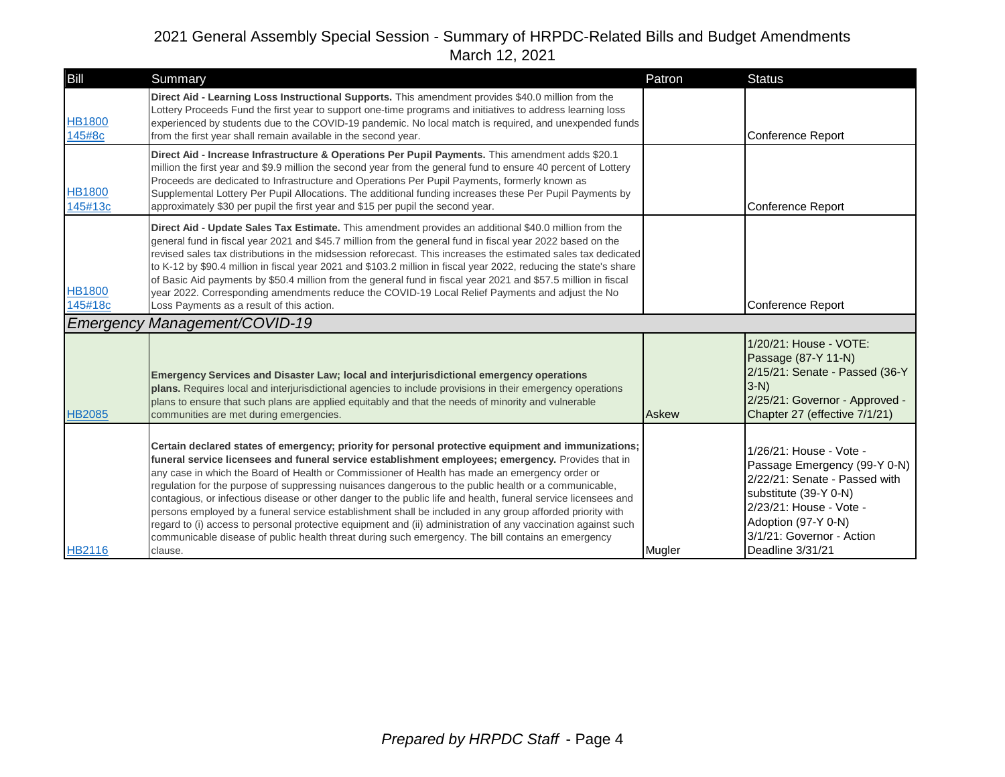| Bill                                  | Summary                                                                                                                                                                                                                                                                                                                                                                                                                                                                                                                                                                                                                                                                                                                                                                                                                                                                               | Patron | <b>Status</b>                                                                                                                                                                                                        |
|---------------------------------------|---------------------------------------------------------------------------------------------------------------------------------------------------------------------------------------------------------------------------------------------------------------------------------------------------------------------------------------------------------------------------------------------------------------------------------------------------------------------------------------------------------------------------------------------------------------------------------------------------------------------------------------------------------------------------------------------------------------------------------------------------------------------------------------------------------------------------------------------------------------------------------------|--------|----------------------------------------------------------------------------------------------------------------------------------------------------------------------------------------------------------------------|
| <b>HB1800</b><br>145#8c               | Direct Aid - Learning Loss Instructional Supports. This amendment provides \$40.0 million from the<br>Lottery Proceeds Fund the first year to support one-time programs and initiatives to address learning loss<br>experienced by students due to the COVID-19 pandemic. No local match is required, and unexpended funds<br>from the first year shall remain available in the second year.                                                                                                                                                                                                                                                                                                                                                                                                                                                                                          |        | Conference Report                                                                                                                                                                                                    |
| <b>HB1800</b><br>145#13c              | Direct Aid - Increase Infrastructure & Operations Per Pupil Payments. This amendment adds \$20.1<br>million the first year and \$9.9 million the second year from the general fund to ensure 40 percent of Lottery<br>Proceeds are dedicated to Infrastructure and Operations Per Pupil Payments, formerly known as<br>Supplemental Lottery Per Pupil Allocations. The additional funding increases these Per Pupil Payments by<br>approximately \$30 per pupil the first year and \$15 per pupil the second year.                                                                                                                                                                                                                                                                                                                                                                    |        | Conference Report                                                                                                                                                                                                    |
| <b>HB1800</b><br>145#18c<br>Emergency | Direct Aid - Update Sales Tax Estimate. This amendment provides an additional \$40.0 million from the<br>general fund in fiscal year 2021 and \$45.7 million from the general fund in fiscal year 2022 based on the<br>revised sales tax distributions in the midsession reforecast. This increases the estimated sales tax dedicated<br>to K-12 by \$90.4 million in fiscal year 2021 and \$103.2 million in fiscal year 2022, reducing the state's share<br>of Basic Aid payments by \$50.4 million from the general fund in fiscal year 2021 and \$57.5 million in fiscal<br>year 2022. Corresponding amendments reduce the COVID-19 Local Relief Payments and adjust the No<br>Loss Payments as a result of this action.<br>Management/COVID-19                                                                                                                                   |        | Conference Report                                                                                                                                                                                                    |
| <b>HB2085</b>                         | Emergency Services and Disaster Law; local and interjurisdictional emergency operations<br>plans. Requires local and interjurisdictional agencies to include provisions in their emergency operations<br>plans to ensure that such plans are applied equitably and that the needs of minority and vulnerable<br>communities are met during emergencies.                                                                                                                                                                                                                                                                                                                                                                                                                                                                                                                               | Askew  | 1/20/21: House - VOTE:<br>Passage (87-Y 11-N)<br>2/15/21: Senate - Passed (36-Y<br>$3-N$<br>2/25/21: Governor - Approved -<br>Chapter 27 (effective 7/1/21)                                                          |
| <b>HB2116</b>                         | Certain declared states of emergency; priority for personal protective equipment and immunizations;<br>funeral service licensees and funeral service establishment employees; emergency. Provides that in<br>any case in which the Board of Health or Commissioner of Health has made an emergency order or<br>regulation for the purpose of suppressing nuisances dangerous to the public health or a communicable,<br>contagious, or infectious disease or other danger to the public life and health, funeral service licensees and<br>persons employed by a funeral service establishment shall be included in any group afforded priority with<br>regard to (i) access to personal protective equipment and (ii) administration of any vaccination against such<br>communicable disease of public health threat during such emergency. The bill contains an emergency<br>clause. | Mugler | 1/26/21: House - Vote -<br>Passage Emergency (99-Y 0-N)<br>2/22/21: Senate - Passed with<br>substitute (39-Y 0-N)<br>2/23/21: House - Vote -<br>Adoption (97-Y 0-N)<br>3/1/21: Governor - Action<br>Deadline 3/31/21 |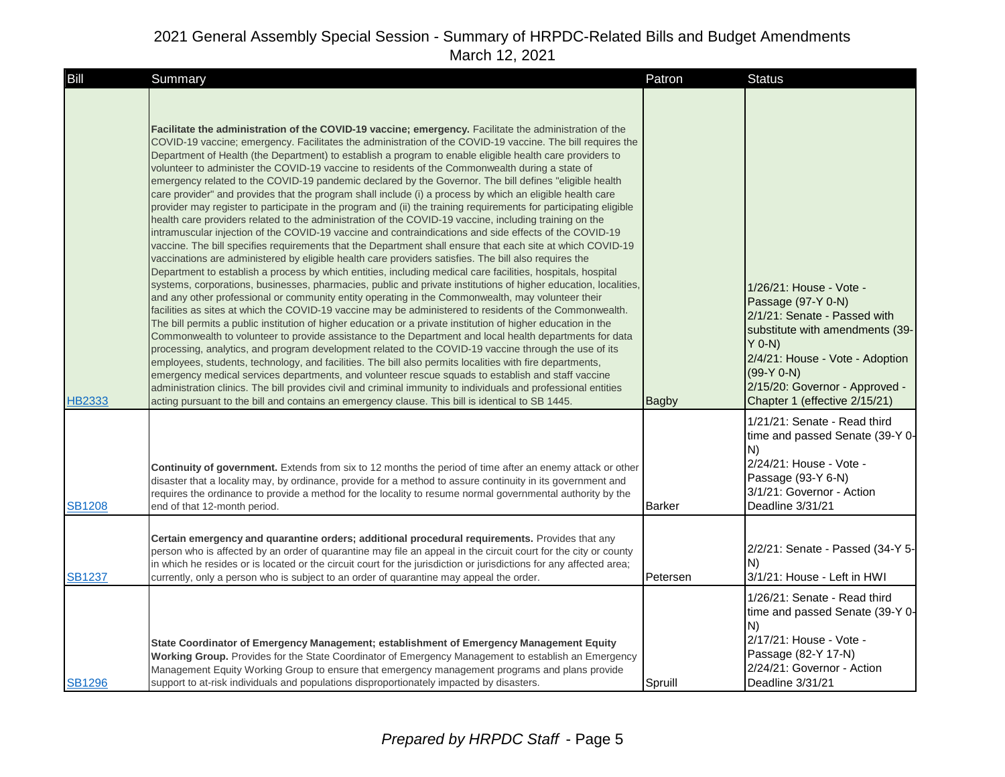| Bill          | Summary                                                                                                                                                                                                                                                                                                                                                                                                                                                                                                                                                                                                                                                                                                                                                                                                                                                                                                                                                                                                                                                                                                                                                                                                                                                                                                                                                                                                                                                                                                                                                                                                                                                                                                                                                                                                                                                                                                                                                                                                                                                                                                                                                                                                                                                                                                                                                                                                                                                    | Patron        | <b>Status</b>                                                                                                                                                                                                                                    |
|---------------|------------------------------------------------------------------------------------------------------------------------------------------------------------------------------------------------------------------------------------------------------------------------------------------------------------------------------------------------------------------------------------------------------------------------------------------------------------------------------------------------------------------------------------------------------------------------------------------------------------------------------------------------------------------------------------------------------------------------------------------------------------------------------------------------------------------------------------------------------------------------------------------------------------------------------------------------------------------------------------------------------------------------------------------------------------------------------------------------------------------------------------------------------------------------------------------------------------------------------------------------------------------------------------------------------------------------------------------------------------------------------------------------------------------------------------------------------------------------------------------------------------------------------------------------------------------------------------------------------------------------------------------------------------------------------------------------------------------------------------------------------------------------------------------------------------------------------------------------------------------------------------------------------------------------------------------------------------------------------------------------------------------------------------------------------------------------------------------------------------------------------------------------------------------------------------------------------------------------------------------------------------------------------------------------------------------------------------------------------------------------------------------------------------------------------------------------------------|---------------|--------------------------------------------------------------------------------------------------------------------------------------------------------------------------------------------------------------------------------------------------|
| <b>HB2333</b> | Facilitate the administration of the COVID-19 vaccine; emergency. Facilitate the administration of the<br>COVID-19 vaccine; emergency. Facilitates the administration of the COVID-19 vaccine. The bill requires the<br>Department of Health (the Department) to establish a program to enable eligible health care providers to<br>volunteer to administer the COVID-19 vaccine to residents of the Commonwealth during a state of<br>emergency related to the COVID-19 pandemic declared by the Governor. The bill defines "eligible health"<br>care provider" and provides that the program shall include (i) a process by which an eligible health care<br>provider may register to participate in the program and (ii) the training requirements for participating eligible<br>health care providers related to the administration of the COVID-19 vaccine, including training on the<br>intramuscular injection of the COVID-19 vaccine and contraindications and side effects of the COVID-19<br>vaccine. The bill specifies requirements that the Department shall ensure that each site at which COVID-19<br>vaccinations are administered by eligible health care providers satisfies. The bill also requires the<br>Department to establish a process by which entities, including medical care facilities, hospitals, hospital<br>systems, corporations, businesses, pharmacies, public and private institutions of higher education, localities,<br>and any other professional or community entity operating in the Commonwealth, may volunteer their<br>facilities as sites at which the COVID-19 vaccine may be administered to residents of the Commonwealth.<br>The bill permits a public institution of higher education or a private institution of higher education in the<br>Commonwealth to volunteer to provide assistance to the Department and local health departments for data<br>processing, analytics, and program development related to the COVID-19 vaccine through the use of its<br>employees, students, technology, and facilities. The bill also permits localities with fire departments,<br>emergency medical services departments, and volunteer rescue squads to establish and staff vaccine<br>administration clinics. The bill provides civil and criminal immunity to individuals and professional entities<br>acting pursuant to the bill and contains an emergency clause. This bill is identical to SB 1445. | <b>Bagby</b>  | 1/26/21: House - Vote -<br>Passage (97-Y 0-N)<br>2/1/21: Senate - Passed with<br>substitute with amendments (39-<br>Y 0-N)<br>2/4/21: House - Vote - Adoption<br>$(99-Y 0-N)$<br>2/15/20: Governor - Approved -<br>Chapter 1 (effective 2/15/21) |
| <b>SB1208</b> | <b>Continuity of government.</b> Extends from six to 12 months the period of time after an enemy attack or other<br>disaster that a locality may, by ordinance, provide for a method to assure continuity in its government and<br>requires the ordinance to provide a method for the locality to resume normal governmental authority by the<br>end of that 12-month period.                                                                                                                                                                                                                                                                                                                                                                                                                                                                                                                                                                                                                                                                                                                                                                                                                                                                                                                                                                                                                                                                                                                                                                                                                                                                                                                                                                                                                                                                                                                                                                                                                                                                                                                                                                                                                                                                                                                                                                                                                                                                              | <b>Barker</b> | 1/21/21: Senate - Read third<br>time and passed Senate (39-Y 0-<br>IN)<br>2/24/21: House - Vote -<br>Passage (93-Y 6-N)<br>3/1/21: Governor - Action<br>Deadline 3/31/21                                                                         |
| <b>SB1237</b> | Certain emergency and quarantine orders; additional procedural requirements. Provides that any<br>person who is affected by an order of quarantine may file an appeal in the circuit court for the city or county<br>in which he resides or is located or the circuit court for the jurisdiction or jurisdictions for any affected area;<br>currently, only a person who is subject to an order of quarantine may appeal the order.                                                                                                                                                                                                                                                                                                                                                                                                                                                                                                                                                                                                                                                                                                                                                                                                                                                                                                                                                                                                                                                                                                                                                                                                                                                                                                                                                                                                                                                                                                                                                                                                                                                                                                                                                                                                                                                                                                                                                                                                                        | Petersen      | 2/2/21: Senate - Passed (34-Y 5-<br>IN)<br>3/1/21: House - Left in HWI                                                                                                                                                                           |
| <b>SB1296</b> | State Coordinator of Emergency Management; establishment of Emergency Management Equity<br>Working Group. Provides for the State Coordinator of Emergency Management to establish an Emergency<br>Management Equity Working Group to ensure that emergency management programs and plans provide<br>support to at-risk individuals and populations disproportionately impacted by disasters.                                                                                                                                                                                                                                                                                                                                                                                                                                                                                                                                                                                                                                                                                                                                                                                                                                                                                                                                                                                                                                                                                                                                                                                                                                                                                                                                                                                                                                                                                                                                                                                                                                                                                                                                                                                                                                                                                                                                                                                                                                                               | Spruill       | 1/26/21: Senate - Read third<br>time and passed Senate (39-Y 0-<br>N)<br>2/17/21: House - Vote -<br>Passage (82-Y 17-N)<br>2/24/21: Governor - Action<br>Deadline 3/31/21                                                                        |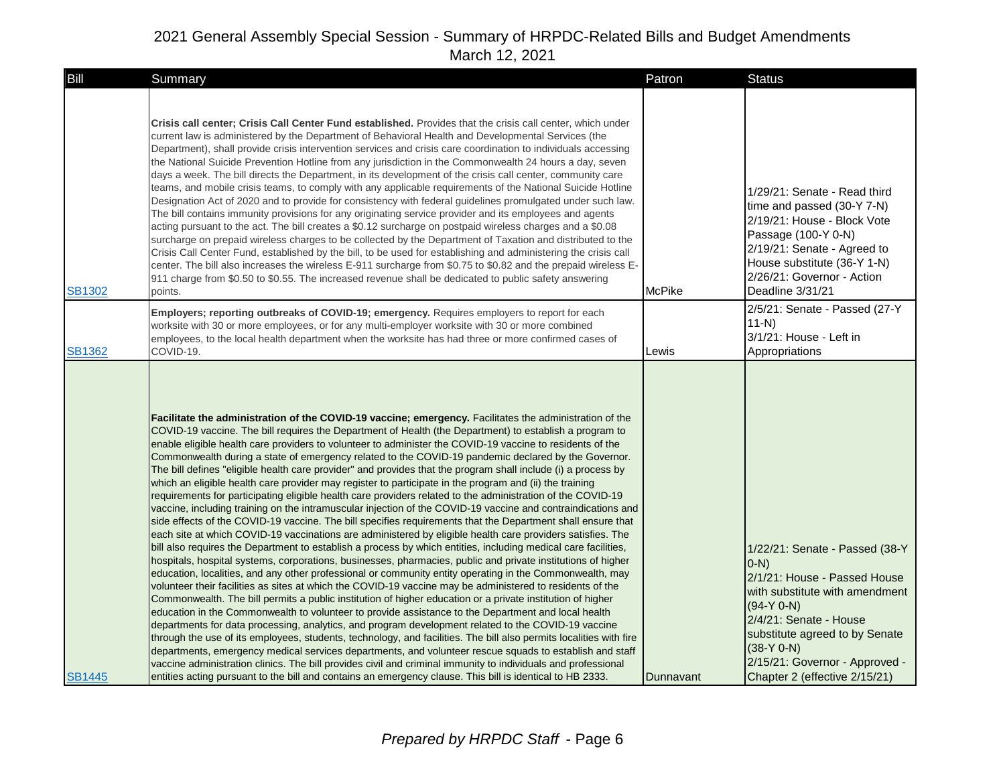| Bill          | Summary                                                                                                                                                                                                                                                                                                                                                                                                                                                                                                                                                                                                                                                                                                                                                                                                                                                                                                                                                                                                                                                                                                                                                                                                                                                                                                                                                                                                                                                                                                                                                                                                                                                                                                                                                                                                                                                                                                                                                                                                                                                                                                                                                                                                                                                                                                                                                                              | Patron        | <b>Status</b>                                                                                                                                                                                                                                                              |
|---------------|--------------------------------------------------------------------------------------------------------------------------------------------------------------------------------------------------------------------------------------------------------------------------------------------------------------------------------------------------------------------------------------------------------------------------------------------------------------------------------------------------------------------------------------------------------------------------------------------------------------------------------------------------------------------------------------------------------------------------------------------------------------------------------------------------------------------------------------------------------------------------------------------------------------------------------------------------------------------------------------------------------------------------------------------------------------------------------------------------------------------------------------------------------------------------------------------------------------------------------------------------------------------------------------------------------------------------------------------------------------------------------------------------------------------------------------------------------------------------------------------------------------------------------------------------------------------------------------------------------------------------------------------------------------------------------------------------------------------------------------------------------------------------------------------------------------------------------------------------------------------------------------------------------------------------------------------------------------------------------------------------------------------------------------------------------------------------------------------------------------------------------------------------------------------------------------------------------------------------------------------------------------------------------------------------------------------------------------------------------------------------------------|---------------|----------------------------------------------------------------------------------------------------------------------------------------------------------------------------------------------------------------------------------------------------------------------------|
| <b>SB1302</b> | Crisis call center; Crisis Call Center Fund established. Provides that the crisis call center, which under<br>current law is administered by the Department of Behavioral Health and Developmental Services (the<br>Department), shall provide crisis intervention services and crisis care coordination to individuals accessing<br>the National Suicide Prevention Hotline from any jurisdiction in the Commonwealth 24 hours a day, seven<br>days a week. The bill directs the Department, in its development of the crisis call center, community care<br>teams, and mobile crisis teams, to comply with any applicable requirements of the National Suicide Hotline<br>Designation Act of 2020 and to provide for consistency with federal guidelines promulgated under such law.<br>The bill contains immunity provisions for any originating service provider and its employees and agents<br>acting pursuant to the act. The bill creates a \$0.12 surcharge on postpaid wireless charges and a \$0.08<br>surcharge on prepaid wireless charges to be collected by the Department of Taxation and distributed to the<br>Crisis Call Center Fund, established by the bill, to be used for establishing and administering the crisis call<br>center. The bill also increases the wireless E-911 surcharge from \$0.75 to \$0.82 and the prepaid wireless E-<br>911 charge from \$0.50 to \$0.55. The increased revenue shall be dedicated to public safety answering<br>points.                                                                                                                                                                                                                                                                                                                                                                                                                                                                                                                                                                                                                                                                                                                                                                                                                                                                                                | <b>McPike</b> | 1/29/21: Senate - Read third<br>time and passed (30-Y 7-N)<br>2/19/21: House - Block Vote<br>Passage (100-Y 0-N)<br>2/19/21: Senate - Agreed to<br>House substitute (36-Y 1-N)<br>2/26/21: Governor - Action<br>Deadline 3/31/21                                           |
| <b>SB1362</b> | Employers; reporting outbreaks of COVID-19; emergency. Requires employers to report for each<br>worksite with 30 or more employees, or for any multi-employer worksite with 30 or more combined<br>employees, to the local health department when the worksite has had three or more confirmed cases of<br>COVID-19.                                                                                                                                                                                                                                                                                                                                                                                                                                                                                                                                                                                                                                                                                                                                                                                                                                                                                                                                                                                                                                                                                                                                                                                                                                                                                                                                                                                                                                                                                                                                                                                                                                                                                                                                                                                                                                                                                                                                                                                                                                                                 | Lewis         | 2/5/21: Senate - Passed (27-Y<br>$11-N$<br>3/1/21: House - Left in<br>Appropriations                                                                                                                                                                                       |
| <b>SB1445</b> | Facilitate the administration of the COVID-19 vaccine; emergency. Facilitates the administration of the<br>COVID-19 vaccine. The bill requires the Department of Health (the Department) to establish a program to<br>enable eligible health care providers to volunteer to administer the COVID-19 vaccine to residents of the<br>Commonwealth during a state of emergency related to the COVID-19 pandemic declared by the Governor.<br>The bill defines "eligible health care provider" and provides that the program shall include (i) a process by<br>which an eligible health care provider may register to participate in the program and (ii) the training<br>requirements for participating eligible health care providers related to the administration of the COVID-19<br>vaccine, including training on the intramuscular injection of the COVID-19 vaccine and contraindications and<br>side effects of the COVID-19 vaccine. The bill specifies requirements that the Department shall ensure that<br>each site at which COVID-19 vaccinations are administered by eligible health care providers satisfies. The<br>bill also requires the Department to establish a process by which entities, including medical care facilities,<br>hospitals, hospital systems, corporations, businesses, pharmacies, public and private institutions of higher<br>education, localities, and any other professional or community entity operating in the Commonwealth, may<br>volunteer their facilities as sites at which the COVID-19 vaccine may be administered to residents of the<br>Commonwealth. The bill permits a public institution of higher education or a private institution of higher<br>education in the Commonwealth to volunteer to provide assistance to the Department and local health<br>departments for data processing, analytics, and program development related to the COVID-19 vaccine<br>through the use of its employees, students, technology, and facilities. The bill also permits localities with fire<br>departments, emergency medical services departments, and volunteer rescue squads to establish and staff<br>vaccine administration clinics. The bill provides civil and criminal immunity to individuals and professional<br>entities acting pursuant to the bill and contains an emergency clause. This bill is identical to HB 2333. | Dunnavant     | 1/22/21: Senate - Passed (38-Y<br>$(0-N)$<br>2/1/21: House - Passed House<br>with substitute with amendment<br>$(94-Y 0-N)$<br>2/4/21: Senate - House<br>substitute agreed to by Senate<br>$(38-Y 0-N)$<br>2/15/21: Governor - Approved -<br>Chapter 2 (effective 2/15/21) |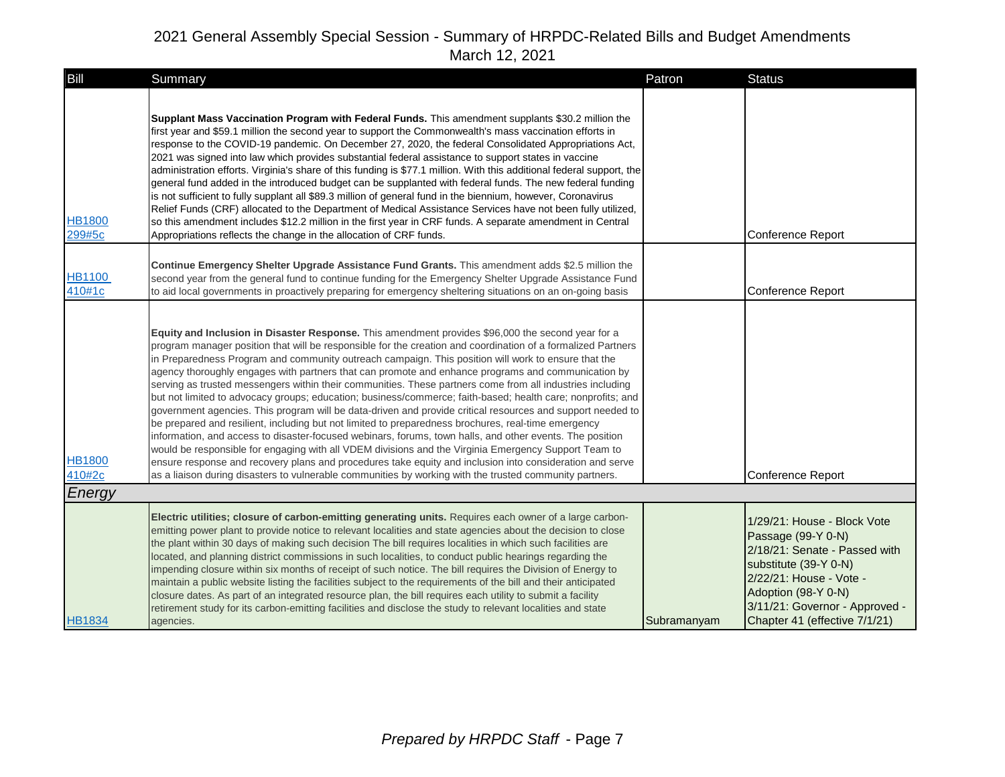| Bill                    | Summary                                                                                                                                                                                                                                                                                                                                                                                                                                                                                                                                                                                                                                                                                                                                                                                                                                                                                                                                                                                                                                                                                                                                                                                                                                                                                                                    | Patron      | <b>Status</b>                                                                                                                                                                                                                    |
|-------------------------|----------------------------------------------------------------------------------------------------------------------------------------------------------------------------------------------------------------------------------------------------------------------------------------------------------------------------------------------------------------------------------------------------------------------------------------------------------------------------------------------------------------------------------------------------------------------------------------------------------------------------------------------------------------------------------------------------------------------------------------------------------------------------------------------------------------------------------------------------------------------------------------------------------------------------------------------------------------------------------------------------------------------------------------------------------------------------------------------------------------------------------------------------------------------------------------------------------------------------------------------------------------------------------------------------------------------------|-------------|----------------------------------------------------------------------------------------------------------------------------------------------------------------------------------------------------------------------------------|
| <b>HB1800</b><br>299#5c | Supplant Mass Vaccination Program with Federal Funds. This amendment supplants \$30.2 million the<br>first year and \$59.1 million the second year to support the Commonwealth's mass vaccination efforts in<br>response to the COVID-19 pandemic. On December 27, 2020, the federal Consolidated Appropriations Act,<br>2021 was signed into law which provides substantial federal assistance to support states in vaccine<br>administration efforts. Virginia's share of this funding is \$77.1 million. With this additional federal support, the<br>general fund added in the introduced budget can be supplanted with federal funds. The new federal funding<br>is not sufficient to fully supplant all \$89.3 million of general fund in the biennium, however, Coronavirus<br>Relief Funds (CRF) allocated to the Department of Medical Assistance Services have not been fully utilized,<br>so this amendment includes \$12.2 million in the first year in CRF funds. A separate amendment in Central<br>Appropriations reflects the change in the allocation of CRF funds.                                                                                                                                                                                                                                       |             | Conference Report                                                                                                                                                                                                                |
| <b>HB1100</b><br>410#1c | Continue Emergency Shelter Upgrade Assistance Fund Grants. This amendment adds \$2.5 million the<br>second year from the general fund to continue funding for the Emergency Shelter Upgrade Assistance Fund<br>to aid local governments in proactively preparing for emergency sheltering situations on an on-going basis                                                                                                                                                                                                                                                                                                                                                                                                                                                                                                                                                                                                                                                                                                                                                                                                                                                                                                                                                                                                  |             | Conference Report                                                                                                                                                                                                                |
| <b>HB1800</b><br>410#2c | Equity and Inclusion in Disaster Response. This amendment provides \$96,000 the second year for a<br>program manager position that will be responsible for the creation and coordination of a formalized Partners<br>in Preparedness Program and community outreach campaign. This position will work to ensure that the<br>agency thoroughly engages with partners that can promote and enhance programs and communication by<br>serving as trusted messengers within their communities. These partners come from all industries including<br>but not limited to advocacy groups; education; business/commerce; faith-based; health care; nonprofits; and<br>government agencies. This program will be data-driven and provide critical resources and support needed to<br>be prepared and resilient, including but not limited to preparedness brochures, real-time emergency<br>information, and access to disaster-focused webinars, forums, town halls, and other events. The position<br>would be responsible for engaging with all VDEM divisions and the Virginia Emergency Support Team to<br>ensure response and recovery plans and procedures take equity and inclusion into consideration and serve<br>as a liaison during disasters to vulnerable communities by working with the trusted community partners. |             | <b>Conference Report</b>                                                                                                                                                                                                         |
| Energy                  |                                                                                                                                                                                                                                                                                                                                                                                                                                                                                                                                                                                                                                                                                                                                                                                                                                                                                                                                                                                                                                                                                                                                                                                                                                                                                                                            |             |                                                                                                                                                                                                                                  |
| <b>HB1834</b>           | Electric utilities; closure of carbon-emitting generating units. Requires each owner of a large carbon-<br>emitting power plant to provide notice to relevant localities and state agencies about the decision to close<br>the plant within 30 days of making such decision The bill requires localities in which such facilities are<br>located, and planning district commissions in such localities, to conduct public hearings regarding the<br>impending closure within six months of receipt of such notice. The bill requires the Division of Energy to<br>maintain a public website listing the facilities subject to the requirements of the bill and their anticipated<br>closure dates. As part of an integrated resource plan, the bill requires each utility to submit a facility<br>retirement study for its carbon-emitting facilities and disclose the study to relevant localities and state<br>agencies.                                                                                                                                                                                                                                                                                                                                                                                                 | Subramanyam | 1/29/21: House - Block Vote<br>Passage (99-Y 0-N)<br>2/18/21: Senate - Passed with<br>substitute (39-Y 0-N)<br>2/22/21: House - Vote -<br>Adoption (98-Y 0-N)<br>3/11/21: Governor - Approved -<br>Chapter 41 (effective 7/1/21) |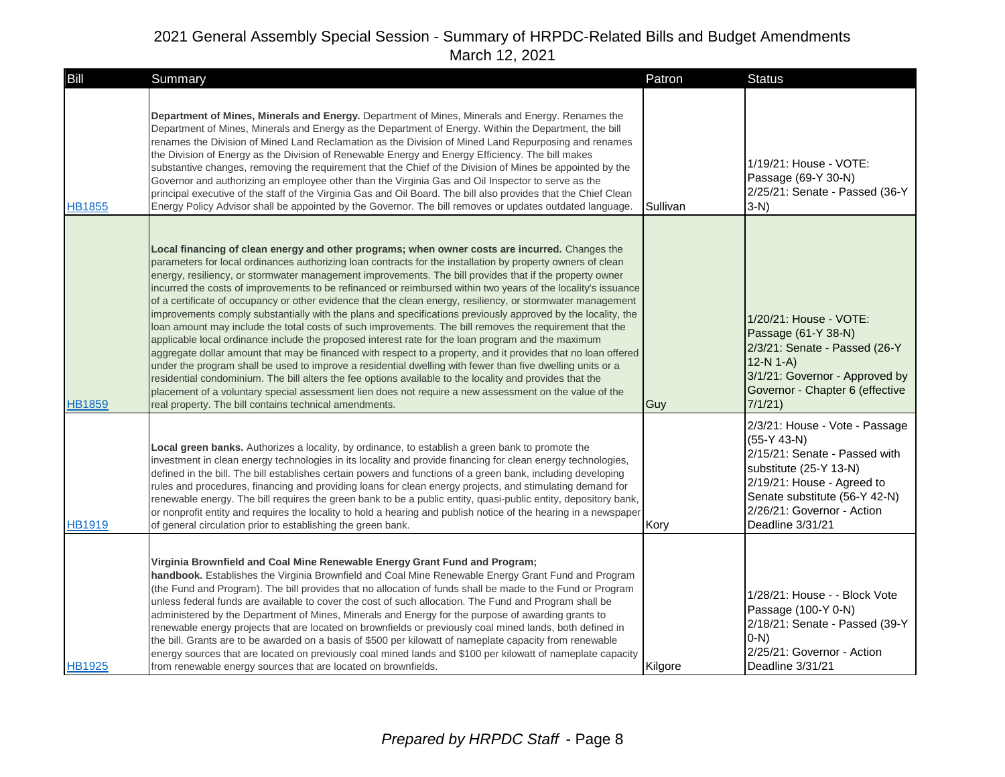| Bill          | Summary                                                                                                                                                                                                                                                                                                                                                                                                                                                                                                                                                                                                                                                                                                                                                                                                                                                                                                                                                                                                                                                                                                                                                                                                                                                                                                                                                                                                  | Patron   | <b>Status</b>                                                                                                                                                                                                               |
|---------------|----------------------------------------------------------------------------------------------------------------------------------------------------------------------------------------------------------------------------------------------------------------------------------------------------------------------------------------------------------------------------------------------------------------------------------------------------------------------------------------------------------------------------------------------------------------------------------------------------------------------------------------------------------------------------------------------------------------------------------------------------------------------------------------------------------------------------------------------------------------------------------------------------------------------------------------------------------------------------------------------------------------------------------------------------------------------------------------------------------------------------------------------------------------------------------------------------------------------------------------------------------------------------------------------------------------------------------------------------------------------------------------------------------|----------|-----------------------------------------------------------------------------------------------------------------------------------------------------------------------------------------------------------------------------|
| <b>HB1855</b> | <b>Department of Mines, Minerals and Energy.</b> Department of Mines, Minerals and Energy. Renames the<br>Department of Mines, Minerals and Energy as the Department of Energy. Within the Department, the bill<br>renames the Division of Mined Land Reclamation as the Division of Mined Land Repurposing and renames<br>the Division of Energy as the Division of Renewable Energy and Energy Efficiency. The bill makes<br>substantive changes, removing the requirement that the Chief of the Division of Mines be appointed by the<br>Governor and authorizing an employee other than the Virginia Gas and Oil Inspector to serve as the<br>principal executive of the staff of the Virginia Gas and Oil Board. The bill also provides that the Chief Clean<br>Energy Policy Advisor shall be appointed by the Governor. The bill removes or updates outdated language.                                                                                                                                                                                                                                                                                                                                                                                                                                                                                                                            | Sullivan | 1/19/21: House - VOTE:<br>Passage (69-Y 30-N)<br>2/25/21: Senate - Passed (36-Y<br>3-N)                                                                                                                                     |
| <b>HB1859</b> | Local financing of clean energy and other programs; when owner costs are incurred. Changes the<br>parameters for local ordinances authorizing loan contracts for the installation by property owners of clean<br>energy, resiliency, or stormwater management improvements. The bill provides that if the property owner<br>incurred the costs of improvements to be refinanced or reimbursed within two years of the locality's issuance<br>of a certificate of occupancy or other evidence that the clean energy, resiliency, or stormwater management<br>improvements comply substantially with the plans and specifications previously approved by the locality, the<br>loan amount may include the total costs of such improvements. The bill removes the requirement that the<br>applicable local ordinance include the proposed interest rate for the loan program and the maximum<br>aggregate dollar amount that may be financed with respect to a property, and it provides that no loan offered<br>under the program shall be used to improve a residential dwelling with fewer than five dwelling units or a<br>residential condominium. The bill alters the fee options available to the locality and provides that the<br>placement of a voluntary special assessment lien does not require a new assessment on the value of the<br>real property. The bill contains technical amendments. | Guy      | 1/20/21: House - VOTE:<br>Passage (61-Y 38-N)<br>2/3/21: Senate - Passed (26-Y<br>$12-N 1-A$<br>3/1/21: Governor - Approved by<br>Governor - Chapter 6 (effective<br>7/1/21                                                 |
| <b>HB1919</b> | Local green banks. Authorizes a locality, by ordinance, to establish a green bank to promote the<br>investment in clean energy technologies in its locality and provide financing for clean energy technologies,<br>defined in the bill. The bill establishes certain powers and functions of a green bank, including developing<br>rules and procedures, financing and providing loans for clean energy projects, and stimulating demand for<br>renewable energy. The bill requires the green bank to be a public entity, quasi-public entity, depository bank,<br>or nonprofit entity and requires the locality to hold a hearing and publish notice of the hearing in a newspaper<br>of general circulation prior to establishing the green bank.                                                                                                                                                                                                                                                                                                                                                                                                                                                                                                                                                                                                                                                     | Kory     | 2/3/21: House - Vote - Passage<br>$(55-Y 43-N)$<br>2/15/21: Senate - Passed with<br>substitute (25-Y 13-N)<br>2/19/21: House - Agreed to<br>Senate substitute (56-Y 42-N)<br>2/26/21: Governor - Action<br>Deadline 3/31/21 |
| <b>HB1925</b> | Virginia Brownfield and Coal Mine Renewable Energy Grant Fund and Program;<br>handbook. Establishes the Virginia Brownfield and Coal Mine Renewable Energy Grant Fund and Program<br>(the Fund and Program). The bill provides that no allocation of funds shall be made to the Fund or Program<br>unless federal funds are available to cover the cost of such allocation. The Fund and Program shall be<br>administered by the Department of Mines, Minerals and Energy for the purpose of awarding grants to<br>renewable energy projects that are located on brownfields or previously coal mined lands, both defined in<br>the bill. Grants are to be awarded on a basis of \$500 per kilowatt of nameplate capacity from renewable<br>energy sources that are located on previously coal mined lands and \$100 per kilowatt of nameplate capacity<br>from renewable energy sources that are located on brownfields.                                                                                                                                                                                                                                                                                                                                                                                                                                                                                | Kilgore  | 1/28/21: House - - Block Vote<br>Passage (100-Y 0-N)<br>2/18/21: Senate - Passed (39-Y<br>$ 0-N\rangle$<br>2/25/21: Governor - Action<br>Deadline 3/31/21                                                                   |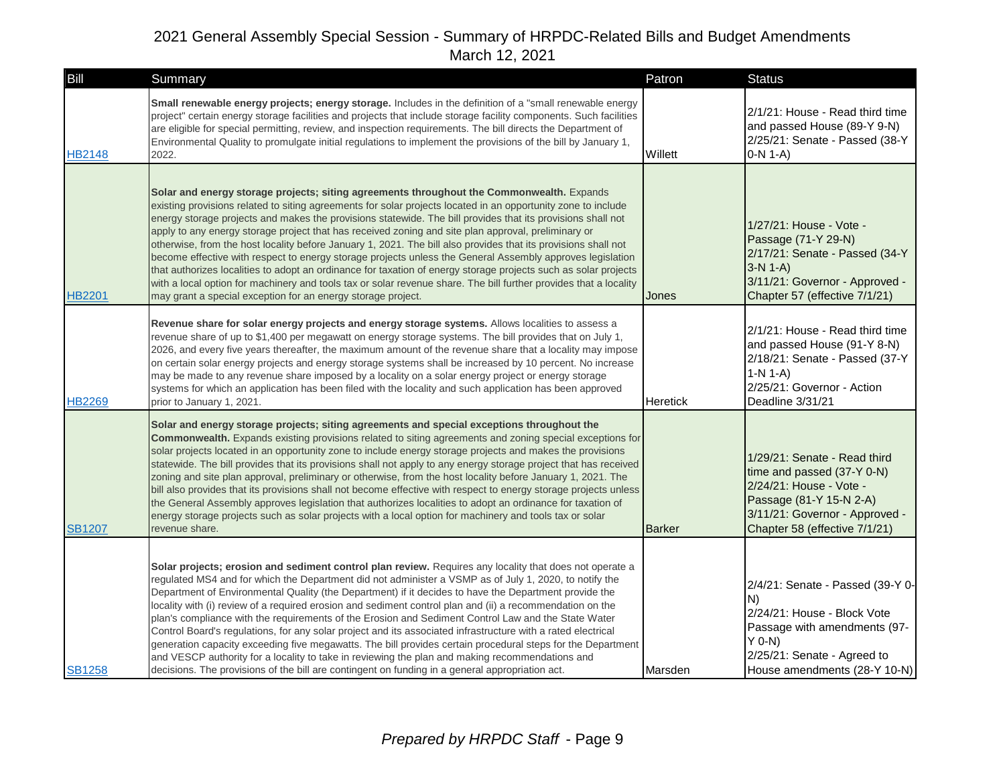| Bill          | Summary                                                                                                                                                                                                                                                                                                                                                                                                                                                                                                                                                                                                                                                                                                                                                                                                                                                                                                                                                                             | Patron          | <b>Status</b>                                                                                                                                                                       |
|---------------|-------------------------------------------------------------------------------------------------------------------------------------------------------------------------------------------------------------------------------------------------------------------------------------------------------------------------------------------------------------------------------------------------------------------------------------------------------------------------------------------------------------------------------------------------------------------------------------------------------------------------------------------------------------------------------------------------------------------------------------------------------------------------------------------------------------------------------------------------------------------------------------------------------------------------------------------------------------------------------------|-----------------|-------------------------------------------------------------------------------------------------------------------------------------------------------------------------------------|
| <b>HB2148</b> | Small renewable energy projects; energy storage. Includes in the definition of a "small renewable energy<br>project" certain energy storage facilities and projects that include storage facility components. Such facilities<br>are eligible for special permitting, review, and inspection requirements. The bill directs the Department of<br>Environmental Quality to promulgate initial regulations to implement the provisions of the bill by January 1,<br>2022.                                                                                                                                                                                                                                                                                                                                                                                                                                                                                                             | Willett         | 2/1/21: House - Read third time<br>and passed House (89-Y 9-N)<br>2/25/21: Senate - Passed (38-Y<br>$O-N 1-A$                                                                       |
| <b>HB2201</b> | Solar and energy storage projects; siting agreements throughout the Commonwealth. Expands<br>existing provisions related to siting agreements for solar projects located in an opportunity zone to include<br>energy storage projects and makes the provisions statewide. The bill provides that its provisions shall not<br>apply to any energy storage project that has received zoning and site plan approval, preliminary or<br>otherwise, from the host locality before January 1, 2021. The bill also provides that its provisions shall not<br>become effective with respect to energy storage projects unless the General Assembly approves legislation<br>that authorizes localities to adopt an ordinance for taxation of energy storage projects such as solar projects<br>with a local option for machinery and tools tax or solar revenue share. The bill further provides that a locality<br>may grant a special exception for an energy storage project.             | Jones           | 1/27/21: House - Vote -<br>Passage (71-Y 29-N)<br>2/17/21: Senate - Passed (34-Y<br>$3-N 1-A$<br>3/11/21: Governor - Approved -<br>Chapter 57 (effective 7/1/21)                    |
| <b>HB2269</b> | Revenue share for solar energy projects and energy storage systems. Allows localities to assess a<br>revenue share of up to \$1,400 per megawatt on energy storage systems. The bill provides that on July 1,<br>2026, and every five years thereafter, the maximum amount of the revenue share that a locality may impose<br>on certain solar energy projects and energy storage systems shall be increased by 10 percent. No increase<br>may be made to any revenue share imposed by a locality on a solar energy project or energy storage<br>systems for which an application has been filed with the locality and such application has been approved<br>prior to January 1, 2021.                                                                                                                                                                                                                                                                                              | <b>Heretick</b> | 2/1/21: House - Read third time<br>and passed House (91-Y 8-N)<br>2/18/21: Senate - Passed (37-Y<br>$1-N 1-A$<br>2/25/21: Governor - Action<br>Deadline 3/31/21                     |
| <b>SB1207</b> | Solar and energy storage projects; siting agreements and special exceptions throughout the<br><b>Commonwealth.</b> Expands existing provisions related to siting agreements and zoning special exceptions for<br>solar projects located in an opportunity zone to include energy storage projects and makes the provisions<br>statewide. The bill provides that its provisions shall not apply to any energy storage project that has received<br>zoning and site plan approval, preliminary or otherwise, from the host locality before January 1, 2021. The<br>bill also provides that its provisions shall not become effective with respect to energy storage projects unless<br>the General Assembly approves legislation that authorizes localities to adopt an ordinance for taxation of<br>energy storage projects such as solar projects with a local option for machinery and tools tax or solar<br>revenue share.                                                        | <b>Barker</b>   | 1/29/21: Senate - Read third<br>time and passed (37-Y 0-N)<br>2/24/21: House - Vote -<br>Passage (81-Y 15-N 2-A)<br>3/11/21: Governor - Approved -<br>Chapter 58 (effective 7/1/21) |
| <b>SB1258</b> | Solar projects; erosion and sediment control plan review. Requires any locality that does not operate a<br>regulated MS4 and for which the Department did not administer a VSMP as of July 1, 2020, to notify the<br>Department of Environmental Quality (the Department) if it decides to have the Department provide the<br>locality with (i) review of a required erosion and sediment control plan and (ii) a recommendation on the<br>plan's compliance with the requirements of the Erosion and Sediment Control Law and the State Water<br>Control Board's regulations, for any solar project and its associated infrastructure with a rated electrical<br>generation capacity exceeding five megawatts. The bill provides certain procedural steps for the Department<br>and VESCP authority for a locality to take in reviewing the plan and making recommendations and<br>decisions. The provisions of the bill are contingent on funding in a general appropriation act. | Marsden         | 2/4/21: Senate - Passed (39-Y 0-<br>IN)<br>2/24/21: House - Block Vote<br>Passage with amendments (97-<br>$Y$ 0-N)<br>2/25/21: Senate - Agreed to<br>House amendments (28-Y 10-N)   |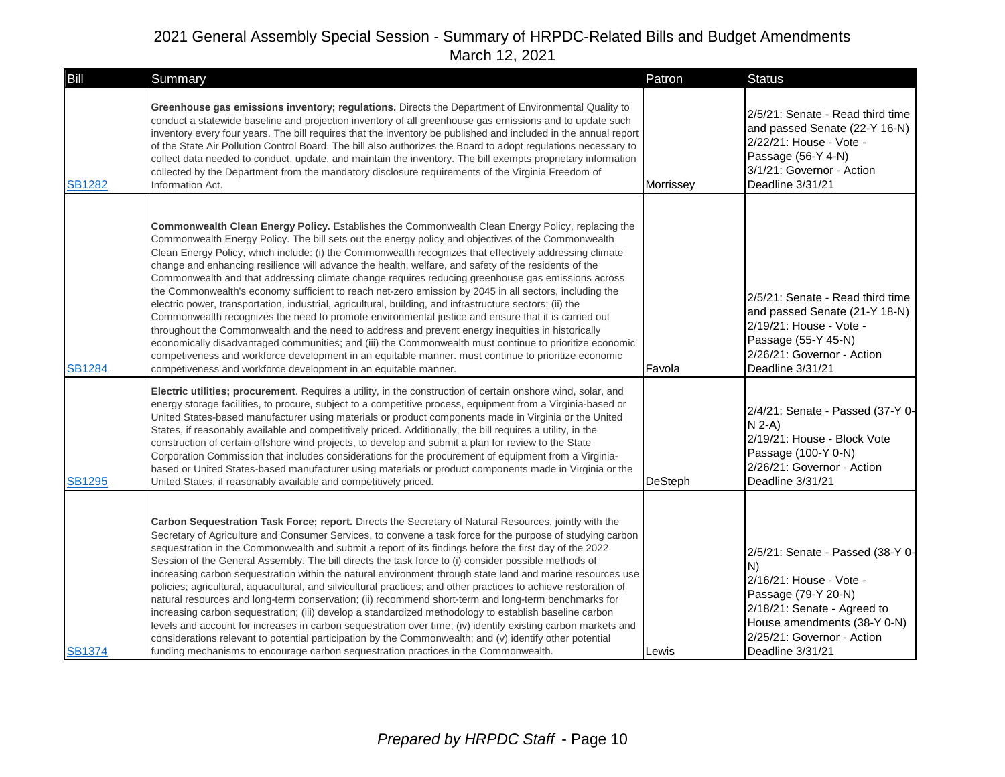| Bill          | Summary                                                                                                                                                                                                                                                                                                                                                                                                                                                                                                                                                                                                                                                                                                                                                                                                                                                                                                                                                                                                                                                                                                                                                                                                                                                                                                                                                                 | Patron    | <b>Status</b>                                                                                                                                                                                            |
|---------------|-------------------------------------------------------------------------------------------------------------------------------------------------------------------------------------------------------------------------------------------------------------------------------------------------------------------------------------------------------------------------------------------------------------------------------------------------------------------------------------------------------------------------------------------------------------------------------------------------------------------------------------------------------------------------------------------------------------------------------------------------------------------------------------------------------------------------------------------------------------------------------------------------------------------------------------------------------------------------------------------------------------------------------------------------------------------------------------------------------------------------------------------------------------------------------------------------------------------------------------------------------------------------------------------------------------------------------------------------------------------------|-----------|----------------------------------------------------------------------------------------------------------------------------------------------------------------------------------------------------------|
| <b>SB1282</b> | Greenhouse gas emissions inventory; regulations. Directs the Department of Environmental Quality to<br>conduct a statewide baseline and projection inventory of all greenhouse gas emissions and to update such<br>inventory every four years. The bill requires that the inventory be published and included in the annual report<br>of the State Air Pollution Control Board. The bill also authorizes the Board to adopt regulations necessary to<br>collect data needed to conduct, update, and maintain the inventory. The bill exempts proprietary information<br>collected by the Department from the mandatory disclosure requirements of the Virginia Freedom of<br>Information Act.                                                                                                                                                                                                                                                                                                                                                                                                                                                                                                                                                                                                                                                                           | Morrissey | 2/5/21: Senate - Read third time<br>and passed Senate (22-Y 16-N)<br>2/22/21: House - Vote -<br>Passage (56-Y 4-N)<br>3/1/21: Governor - Action<br>Deadline 3/31/21                                      |
| <b>SB1284</b> | Commonwealth Clean Energy Policy. Establishes the Commonwealth Clean Energy Policy, replacing the<br>Commonwealth Energy Policy. The bill sets out the energy policy and objectives of the Commonwealth<br>Clean Energy Policy, which include: (i) the Commonwealth recognizes that effectively addressing climate<br>change and enhancing resilience will advance the health, welfare, and safety of the residents of the<br>Commonwealth and that addressing climate change requires reducing greenhouse gas emissions across<br>the Commonwealth's economy sufficient to reach net-zero emission by 2045 in all sectors, including the<br>electric power, transportation, industrial, agricultural, building, and infrastructure sectors; (ii) the<br>Commonwealth recognizes the need to promote environmental justice and ensure that it is carried out<br>throughout the Commonwealth and the need to address and prevent energy inequities in historically<br>economically disadvantaged communities; and (iii) the Commonwealth must continue to prioritize economic<br>competiveness and workforce development in an equitable manner. must continue to prioritize economic<br>competiveness and workforce development in an equitable manner.<br>Electric utilities; procurement. Requires a utility, in the construction of certain onshore wind, solar, and | Favola    | 2/5/21: Senate - Read third time<br>and passed Senate (21-Y 18-N)<br>2/19/21: House - Vote -<br>Passage (55-Y 45-N)<br>2/26/21: Governor - Action<br>Deadline 3/31/21                                    |
| <b>SB1295</b> | energy storage facilities, to procure, subject to a competitive process, equipment from a Virginia-based or<br>United States-based manufacturer using materials or product components made in Virginia or the United<br>States, if reasonably available and competitively priced. Additionally, the bill requires a utility, in the<br>construction of certain offshore wind projects, to develop and submit a plan for review to the State<br>Corporation Commission that includes considerations for the procurement of equipment from a Virginia-<br>based or United States-based manufacturer using materials or product components made in Virginia or the<br>United States, if reasonably available and competitively priced.                                                                                                                                                                                                                                                                                                                                                                                                                                                                                                                                                                                                                                     | DeSteph   | 2/4/21: Senate - Passed (37-Y 0-<br>$N$ 2-A)<br>2/19/21: House - Block Vote<br>Passage (100-Y 0-N)<br>2/26/21: Governor - Action<br>Deadline 3/31/21                                                     |
| <b>SB1374</b> | Carbon Sequestration Task Force; report. Directs the Secretary of Natural Resources, jointly with the<br>Secretary of Agriculture and Consumer Services, to convene a task force for the purpose of studying carbon<br>sequestration in the Commonwealth and submit a report of its findings before the first day of the 2022<br>Session of the General Assembly. The bill directs the task force to (i) consider possible methods of<br>increasing carbon sequestration within the natural environment through state land and marine resources use<br>policies; agricultural, aquacultural, and silvicultural practices; and other practices to achieve restoration of<br>natural resources and long-term conservation; (ii) recommend short-term and long-term benchmarks for<br>increasing carbon sequestration; (iii) develop a standardized methodology to establish baseline carbon<br>levels and account for increases in carbon sequestration over time; (iv) identify existing carbon markets and<br>considerations relevant to potential participation by the Commonwealth; and (v) identify other potential<br>funding mechanisms to encourage carbon sequestration practices in the Commonwealth.                                                                                                                                                           | Lewis     | 2/5/21: Senate - Passed (38-Y 0-<br>N)<br>2/16/21: House - Vote -<br>Passage (79-Y 20-N)<br>2/18/21: Senate - Agreed to<br>House amendments (38-Y 0-N)<br>2/25/21: Governor - Action<br>Deadline 3/31/21 |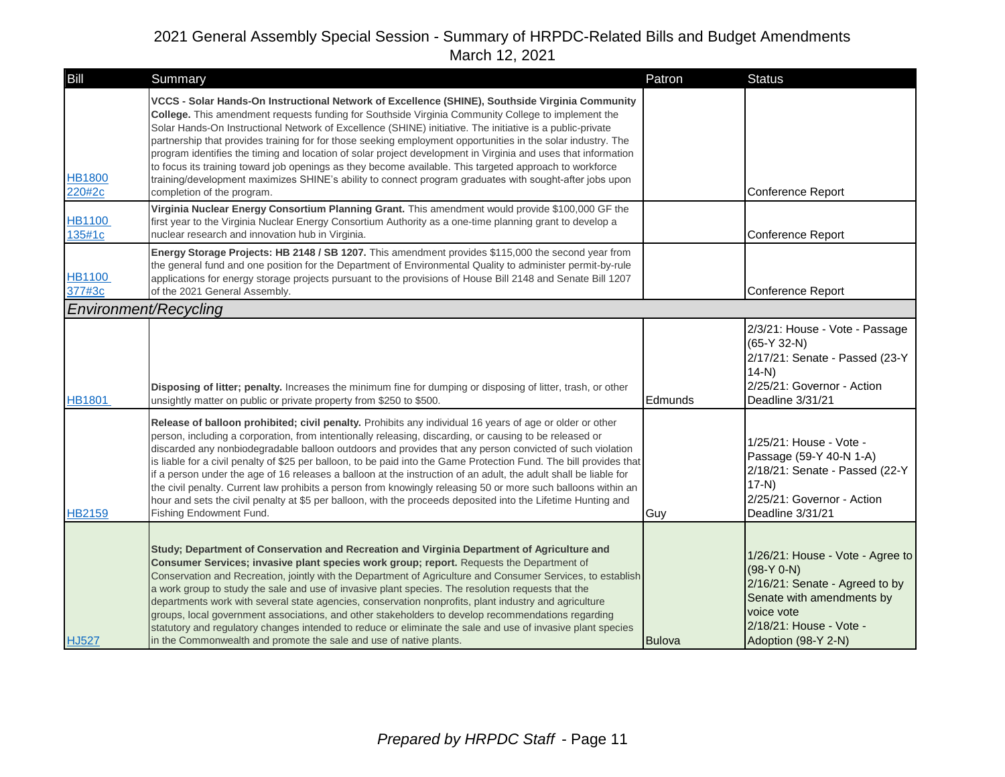| Bill                         | Summary                                                                                                                                                                                                                                                                                                                                                                                                                                                                                                                                                                                                                                                                                                                                                                                                                                 | Patron        | <b>Status</b>                                                                                                                                                                   |
|------------------------------|-----------------------------------------------------------------------------------------------------------------------------------------------------------------------------------------------------------------------------------------------------------------------------------------------------------------------------------------------------------------------------------------------------------------------------------------------------------------------------------------------------------------------------------------------------------------------------------------------------------------------------------------------------------------------------------------------------------------------------------------------------------------------------------------------------------------------------------------|---------------|---------------------------------------------------------------------------------------------------------------------------------------------------------------------------------|
| <b>HB1800</b><br>220#2c      | VCCS - Solar Hands-On Instructional Network of Excellence (SHINE), Southside Virginia Community<br>College. This amendment requests funding for Southside Virginia Community College to implement the<br>Solar Hands-On Instructional Network of Excellence (SHINE) initiative. The initiative is a public-private<br>partnership that provides training for for those seeking employment opportunities in the solar industry. The<br>program identifies the timing and location of solar project development in Virginia and uses that information<br>to focus its training toward job openings as they become available. This targeted approach to workforce<br>training/development maximizes SHINE's ability to connect program graduates with sought-after jobs upon<br>completion of the program.                                 |               | Conference Report                                                                                                                                                               |
| <b>HB1100</b><br>135#1c      | Virginia Nuclear Energy Consortium Planning Grant. This amendment would provide \$100,000 GF the<br>first year to the Virginia Nuclear Energy Consortium Authority as a one-time planning grant to develop a<br>nuclear research and innovation hub in Virginia.                                                                                                                                                                                                                                                                                                                                                                                                                                                                                                                                                                        |               | Conference Report                                                                                                                                                               |
| <b>HB1100</b><br>377#3c      | Energy Storage Projects: HB 2148 / SB 1207. This amendment provides \$115,000 the second year from<br>the general fund and one position for the Department of Environmental Quality to administer permit-by-rule<br>applications for energy storage projects pursuant to the provisions of House Bill 2148 and Senate Bill 1207<br>of the 2021 General Assembly.                                                                                                                                                                                                                                                                                                                                                                                                                                                                        |               | Conference Report                                                                                                                                                               |
| <b>Environment/Recycling</b> |                                                                                                                                                                                                                                                                                                                                                                                                                                                                                                                                                                                                                                                                                                                                                                                                                                         |               |                                                                                                                                                                                 |
| <b>HB1801</b>                | Disposing of litter; penalty. Increases the minimum fine for dumping or disposing of litter, trash, or other<br>unsightly matter on public or private property from \$250 to \$500.                                                                                                                                                                                                                                                                                                                                                                                                                                                                                                                                                                                                                                                     | Edmunds       | 2/3/21: House - Vote - Passage<br>$(65-Y 32-N)$<br>2/17/21: Senate - Passed (23-Y<br>$14-N$<br>2/25/21: Governor - Action<br>Deadline 3/31/21                                   |
| <b>HB2159</b>                | Release of balloon prohibited; civil penalty. Prohibits any individual 16 years of age or older or other<br>person, including a corporation, from intentionally releasing, discarding, or causing to be released or<br>discarded any nonbiodegradable balloon outdoors and provides that any person convicted of such violation<br>is liable for a civil penalty of \$25 per balloon, to be paid into the Game Protection Fund. The bill provides that<br>if a person under the age of 16 releases a balloon at the instruction of an adult, the adult shall be liable for<br>the civil penalty. Current law prohibits a person from knowingly releasing 50 or more such balloons within an<br>hour and sets the civil penalty at \$5 per balloon, with the proceeds deposited into the Lifetime Hunting and<br>Fishing Endowment Fund. | Guy           | 1/25/21: House - Vote -<br>Passage (59-Y 40-N 1-A)<br>2/18/21: Senate - Passed (22-Y<br>$17-N$<br>2/25/21: Governor - Action<br>Deadline 3/31/21                                |
| <b>HJ527</b>                 | Study; Department of Conservation and Recreation and Virginia Department of Agriculture and<br>Consumer Services; invasive plant species work group; report. Requests the Department of<br>Conservation and Recreation, jointly with the Department of Agriculture and Consumer Services, to establish<br>a work group to study the sale and use of invasive plant species. The resolution requests that the<br>departments work with several state agencies, conservation nonprofits, plant industry and agriculture<br>groups, local government associations, and other stakeholders to develop recommendations regarding<br>statutory and regulatory changes intended to reduce or eliminate the sale and use of invasive plant species<br>in the Commonwealth and promote the sale and use of native plants.                        | <b>Bulova</b> | 1/26/21: House - Vote - Agree to<br>$(98-Y 0-N)$<br>2/16/21: Senate - Agreed to by<br>Senate with amendments by<br>voice vote<br>2/18/21: House - Vote -<br>Adoption (98-Y 2-N) |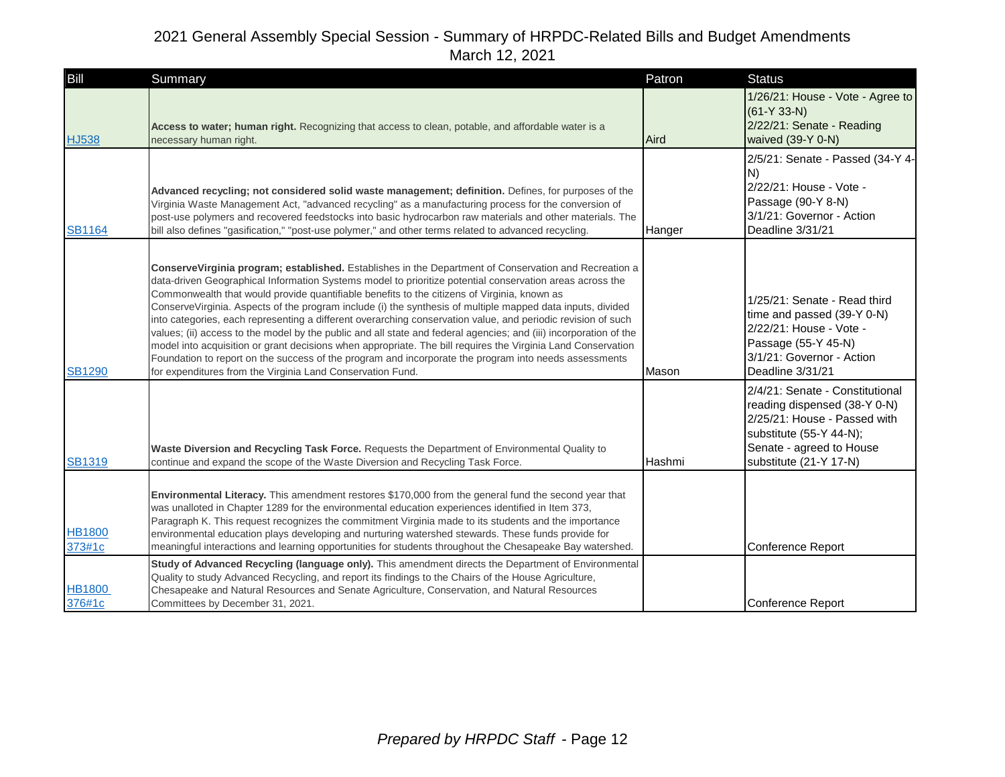| Bill                    | Summary                                                                                                                                                                                                                                                                                                                                                                                                                                                                                                                                                                                                                                                                                                                                                                                                                                                                                                                                                    | Patron | <b>Status</b>                                                                                                                                                                    |
|-------------------------|------------------------------------------------------------------------------------------------------------------------------------------------------------------------------------------------------------------------------------------------------------------------------------------------------------------------------------------------------------------------------------------------------------------------------------------------------------------------------------------------------------------------------------------------------------------------------------------------------------------------------------------------------------------------------------------------------------------------------------------------------------------------------------------------------------------------------------------------------------------------------------------------------------------------------------------------------------|--------|----------------------------------------------------------------------------------------------------------------------------------------------------------------------------------|
| <b>HJ538</b>            | Access to water; human right. Recognizing that access to clean, potable, and affordable water is a<br>necessary human right.                                                                                                                                                                                                                                                                                                                                                                                                                                                                                                                                                                                                                                                                                                                                                                                                                               | Aird   | 1/26/21: House - Vote - Agree to<br>$(61-Y 33-N)$<br>2/22/21: Senate - Reading<br>waived (39-Y 0-N)                                                                              |
| <b>SB1164</b>           | Advanced recycling; not considered solid waste management; definition. Defines, for purposes of the<br>Virginia Waste Management Act, "advanced recycling" as a manufacturing process for the conversion of<br>post-use polymers and recovered feedstocks into basic hydrocarbon raw materials and other materials. The<br>bill also defines "gasification," "post-use polymer," and other terms related to advanced recycling.                                                                                                                                                                                                                                                                                                                                                                                                                                                                                                                            | Hanger | 2/5/21: Senate - Passed (34-Y 4-<br>N)<br>2/22/21: House - Vote -<br>Passage (90-Y 8-N)<br>3/1/21: Governor - Action<br>Deadline 3/31/21                                         |
| <b>SB1290</b>           | ConserveVirginia program; established. Establishes in the Department of Conservation and Recreation a<br>data-driven Geographical Information Systems model to prioritize potential conservation areas across the<br>Commonwealth that would provide quantifiable benefits to the citizens of Virginia, known as<br>ConserveVirginia. Aspects of the program include (i) the synthesis of multiple mapped data inputs, divided<br>into categories, each representing a different overarching conservation value, and periodic revision of such<br>values; (ii) access to the model by the public and all state and federal agencies; and (iii) incorporation of the<br>model into acquisition or grant decisions when appropriate. The bill requires the Virginia Land Conservation<br>Foundation to report on the success of the program and incorporate the program into needs assessments<br>for expenditures from the Virginia Land Conservation Fund. | Mason  | 1/25/21: Senate - Read third<br>time and passed (39-Y 0-N)<br>2/22/21: House - Vote -<br>Passage (55-Y 45-N)<br>3/1/21: Governor - Action<br>Deadline 3/31/21                    |
| <b>SB1319</b>           | Waste Diversion and Recycling Task Force. Requests the Department of Environmental Quality to<br>continue and expand the scope of the Waste Diversion and Recycling Task Force.                                                                                                                                                                                                                                                                                                                                                                                                                                                                                                                                                                                                                                                                                                                                                                            | Hashmi | 2/4/21: Senate - Constitutional<br>reading dispensed (38-Y 0-N)<br>2/25/21: House - Passed with<br>substitute (55-Y 44-N);<br>Senate - agreed to House<br>substitute (21-Y 17-N) |
| <b>HB1800</b><br>373#1c | Environmental Literacy. This amendment restores \$170,000 from the general fund the second year that<br>was unalloted in Chapter 1289 for the environmental education experiences identified in Item 373,<br>Paragraph K. This request recognizes the commitment Virginia made to its students and the importance<br>environmental education plays developing and nurturing watershed stewards. These funds provide for<br>meaningful interactions and learning opportunities for students throughout the Chesapeake Bay watershed.                                                                                                                                                                                                                                                                                                                                                                                                                        |        | Conference Report                                                                                                                                                                |
| <b>HB1800</b><br>376#1c | Study of Advanced Recycling (language only). This amendment directs the Department of Environmental<br>Quality to study Advanced Recycling, and report its findings to the Chairs of the House Agriculture,<br>Chesapeake and Natural Resources and Senate Agriculture, Conservation, and Natural Resources<br>Committees by December 31, 2021.                                                                                                                                                                                                                                                                                                                                                                                                                                                                                                                                                                                                            |        | Conference Report                                                                                                                                                                |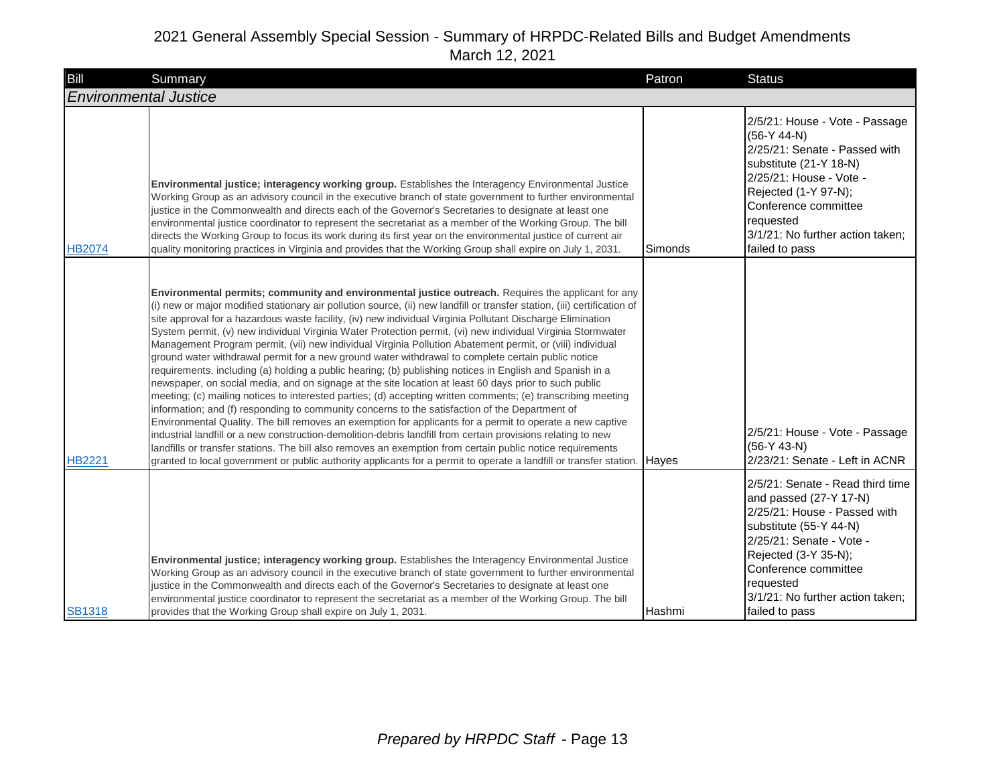| Bill          | Summary                                                                                                                                                                                                                                                                                                                                                                                                                                                                                                                                                                                                                                                                                                                                                                                                                                                                                                                                                                                                                                                                                                                                                                                                                                                                                                                                                                                                                                                                                                                                                                                       | Patron  | <b>Status</b>                                                                                                                                                                                                                                                       |
|---------------|-----------------------------------------------------------------------------------------------------------------------------------------------------------------------------------------------------------------------------------------------------------------------------------------------------------------------------------------------------------------------------------------------------------------------------------------------------------------------------------------------------------------------------------------------------------------------------------------------------------------------------------------------------------------------------------------------------------------------------------------------------------------------------------------------------------------------------------------------------------------------------------------------------------------------------------------------------------------------------------------------------------------------------------------------------------------------------------------------------------------------------------------------------------------------------------------------------------------------------------------------------------------------------------------------------------------------------------------------------------------------------------------------------------------------------------------------------------------------------------------------------------------------------------------------------------------------------------------------|---------|---------------------------------------------------------------------------------------------------------------------------------------------------------------------------------------------------------------------------------------------------------------------|
|               | <b>Environmental Justice</b>                                                                                                                                                                                                                                                                                                                                                                                                                                                                                                                                                                                                                                                                                                                                                                                                                                                                                                                                                                                                                                                                                                                                                                                                                                                                                                                                                                                                                                                                                                                                                                  |         |                                                                                                                                                                                                                                                                     |
| <b>HB2074</b> | Environmental justice; interagency working group. Establishes the Interagency Environmental Justice<br>Working Group as an advisory council in the executive branch of state government to further environmental<br>justice in the Commonwealth and directs each of the Governor's Secretaries to designate at least one<br>environmental justice coordinator to represent the secretariat as a member of the Working Group. The bill<br>directs the Working Group to focus its work during its first year on the environmental justice of current air<br>quality monitoring practices in Virginia and provides that the Working Group shall expire on July 1, 2031.                                                                                                                                                                                                                                                                                                                                                                                                                                                                                                                                                                                                                                                                                                                                                                                                                                                                                                                          | Simonds | 2/5/21: House - Vote - Passage<br>$(56-Y 44-N)$<br>2/25/21: Senate - Passed with<br>substitute (21-Y 18-N)<br>2/25/21: House - Vote -<br>Rejected (1-Y 97-N);<br>Conference committee<br>requested<br>3/1/21: No further action taken;<br>failed to pass            |
| <b>HB2221</b> | Environmental permits; community and environmental justice outreach. Requires the applicant for any<br>(i) new or major modified stationary air pollution source, (ii) new landfill or transfer station, (iii) certification of<br>site approval for a hazardous waste facility, (iv) new individual Virginia Pollutant Discharge Elimination<br>System permit, (v) new individual Virginia Water Protection permit, (vi) new individual Virginia Stormwater<br>Management Program permit, (vii) new individual Virginia Pollution Abatement permit, or (viii) individual<br>ground water withdrawal permit for a new ground water withdrawal to complete certain public notice<br>requirements, including (a) holding a public hearing; (b) publishing notices in English and Spanish in a<br>newspaper, on social media, and on signage at the site location at least 60 days prior to such public<br>meeting; (c) mailing notices to interested parties; (d) accepting written comments; (e) transcribing meeting<br>information; and (f) responding to community concerns to the satisfaction of the Department of<br>Environmental Quality. The bill removes an exemption for applicants for a permit to operate a new captive<br>industrial landfill or a new construction-demolition-debris landfill from certain provisions relating to new<br>landfills or transfer stations. The bill also removes an exemption from certain public notice requirements<br>granted to local government or public authority applicants for a permit to operate a landfill or transfer station. Hayes |         | 2/5/21: House - Vote - Passage<br>$(56-Y 43-N)$<br>2/23/21: Senate - Left in ACNR                                                                                                                                                                                   |
| <b>SB1318</b> | Environmental justice; interagency working group. Establishes the Interagency Environmental Justice<br>Working Group as an advisory council in the executive branch of state government to further environmental<br>justice in the Commonwealth and directs each of the Governor's Secretaries to designate at least one<br>environmental justice coordinator to represent the secretariat as a member of the Working Group. The bill<br>provides that the Working Group shall expire on July 1, 2031.                                                                                                                                                                                                                                                                                                                                                                                                                                                                                                                                                                                                                                                                                                                                                                                                                                                                                                                                                                                                                                                                                        | Hashmi  | 2/5/21: Senate - Read third time<br>and passed (27-Y 17-N)<br>2/25/21: House - Passed with<br>substitute (55-Y 44-N)<br>2/25/21: Senate - Vote -<br>Rejected (3-Y 35-N);<br>Conference committee<br>requested<br>3/1/21: No further action taken;<br>failed to pass |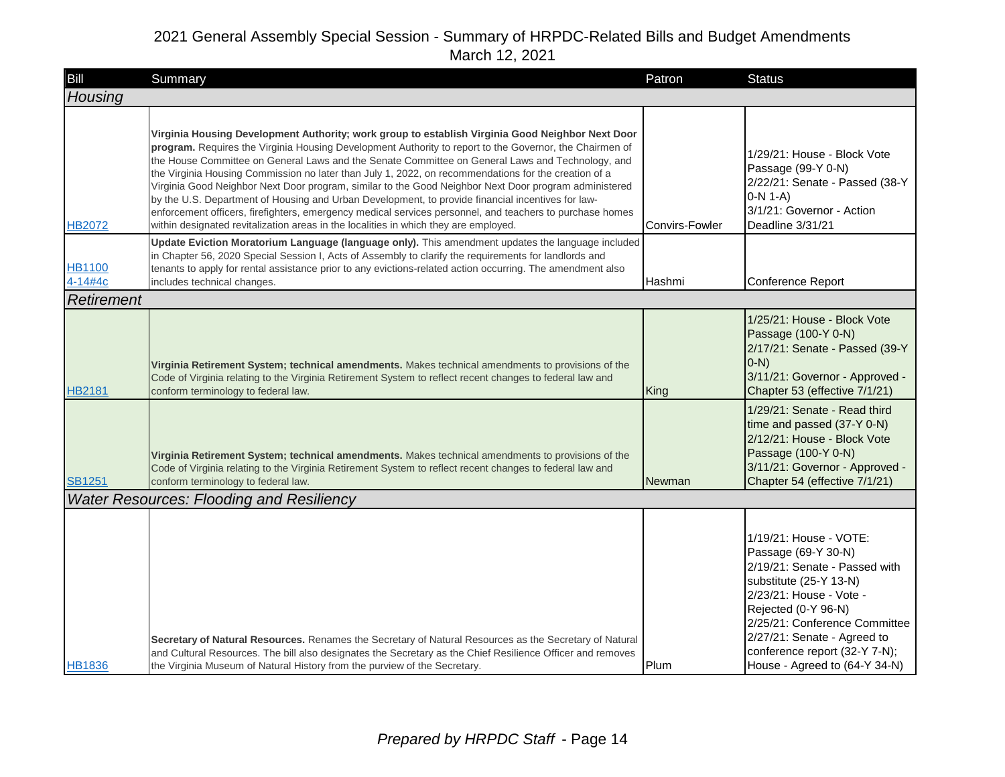| Bill                     | Summary                                                                                                                                                                                                                                                                                                                                                                                                                                                                                                                                                                                                                                                                                                                                                                                                                                   | Patron         | <b>Status</b>                                                                                                                                                                                                                                                                                |
|--------------------------|-------------------------------------------------------------------------------------------------------------------------------------------------------------------------------------------------------------------------------------------------------------------------------------------------------------------------------------------------------------------------------------------------------------------------------------------------------------------------------------------------------------------------------------------------------------------------------------------------------------------------------------------------------------------------------------------------------------------------------------------------------------------------------------------------------------------------------------------|----------------|----------------------------------------------------------------------------------------------------------------------------------------------------------------------------------------------------------------------------------------------------------------------------------------------|
| Housing                  |                                                                                                                                                                                                                                                                                                                                                                                                                                                                                                                                                                                                                                                                                                                                                                                                                                           |                |                                                                                                                                                                                                                                                                                              |
| <b>HB2072</b>            | Virginia Housing Development Authority; work group to establish Virginia Good Neighbor Next Door<br>program. Requires the Virginia Housing Development Authority to report to the Governor, the Chairmen of<br>the House Committee on General Laws and the Senate Committee on General Laws and Technology, and<br>the Virginia Housing Commission no later than July 1, 2022, on recommendations for the creation of a<br>Virginia Good Neighbor Next Door program, similar to the Good Neighbor Next Door program administered<br>by the U.S. Department of Housing and Urban Development, to provide financial incentives for law-<br>enforcement officers, firefighters, emergency medical services personnel, and teachers to purchase homes<br>within designated revitalization areas in the localities in which they are employed. | Convirs-Fowler | 1/29/21: House - Block Vote<br>Passage (99-Y 0-N)<br>2/22/21: Senate - Passed (38-Y<br>$0-N 1-A$<br>3/1/21: Governor - Action<br>Deadline 3/31/21                                                                                                                                            |
| <b>HB1100</b><br>4-14#4c | Update Eviction Moratorium Language (language only). This amendment updates the language included<br>in Chapter 56, 2020 Special Session I, Acts of Assembly to clarify the requirements for landlords and<br>tenants to apply for rental assistance prior to any evictions-related action occurring. The amendment also<br>includes technical changes.                                                                                                                                                                                                                                                                                                                                                                                                                                                                                   | Hashmi         | Conference Report                                                                                                                                                                                                                                                                            |
| <b>Retirement</b>        |                                                                                                                                                                                                                                                                                                                                                                                                                                                                                                                                                                                                                                                                                                                                                                                                                                           |                |                                                                                                                                                                                                                                                                                              |
| <b>HB2181</b>            | Virginia Retirement System; technical amendments. Makes technical amendments to provisions of the<br>Code of Virginia relating to the Virginia Retirement System to reflect recent changes to federal law and<br>conform terminology to federal law.                                                                                                                                                                                                                                                                                                                                                                                                                                                                                                                                                                                      | King           | 1/25/21: House - Block Vote<br>Passage (100-Y 0-N)<br>2/17/21: Senate - Passed (39-Y<br>$ 0-N\rangle$<br>3/11/21: Governor - Approved -<br>Chapter 53 (effective 7/1/21)<br>1/29/21: Senate - Read third                                                                                     |
| <b>SB1251</b>            | Virginia Retirement System; technical amendments. Makes technical amendments to provisions of the<br>Code of Virginia relating to the Virginia Retirement System to reflect recent changes to federal law and<br>conform terminology to federal law.                                                                                                                                                                                                                                                                                                                                                                                                                                                                                                                                                                                      | Newman         | time and passed (37-Y 0-N)<br>2/12/21: House - Block Vote<br>Passage (100-Y 0-N)<br>3/11/21: Governor - Approved -<br>Chapter 54 (effective 7/1/21)                                                                                                                                          |
|                          | <b>Water Resources: Flooding and Resiliency</b>                                                                                                                                                                                                                                                                                                                                                                                                                                                                                                                                                                                                                                                                                                                                                                                           |                |                                                                                                                                                                                                                                                                                              |
| <b>HB1836</b>            | Secretary of Natural Resources. Renames the Secretary of Natural Resources as the Secretary of Natural<br>and Cultural Resources. The bill also designates the Secretary as the Chief Resilience Officer and removes<br>the Virginia Museum of Natural History from the purview of the Secretary.                                                                                                                                                                                                                                                                                                                                                                                                                                                                                                                                         | Plum           | 1/19/21: House - VOTE:<br>Passage (69-Y 30-N)<br>2/19/21: Senate - Passed with<br>substitute (25-Y 13-N)<br>2/23/21: House - Vote -<br>Rejected (0-Y 96-N)<br>2/25/21: Conference Committee<br>2/27/21: Senate - Agreed to<br>conference report (32-Y 7-N);<br>House - Agreed to (64-Y 34-N) |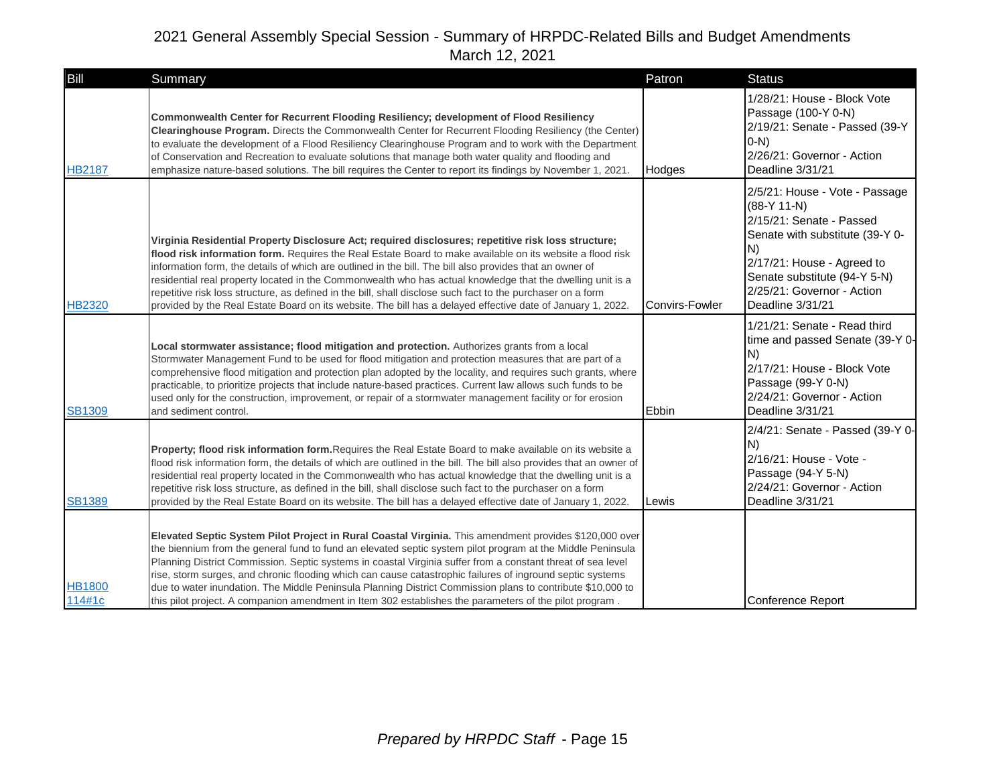| Bill                    | Summary                                                                                                                                                                                                                                                                                                                                                                                                                                                                                                                                                                                                                                                                  | Patron                | <b>Status</b>                                                                                                                                                                                                                        |
|-------------------------|--------------------------------------------------------------------------------------------------------------------------------------------------------------------------------------------------------------------------------------------------------------------------------------------------------------------------------------------------------------------------------------------------------------------------------------------------------------------------------------------------------------------------------------------------------------------------------------------------------------------------------------------------------------------------|-----------------------|--------------------------------------------------------------------------------------------------------------------------------------------------------------------------------------------------------------------------------------|
| <b>HB2187</b>           | Commonwealth Center for Recurrent Flooding Resiliency; development of Flood Resiliency<br>Clearinghouse Program. Directs the Commonwealth Center for Recurrent Flooding Resiliency (the Center)<br>to evaluate the development of a Flood Resiliency Clearinghouse Program and to work with the Department<br>of Conservation and Recreation to evaluate solutions that manage both water quality and flooding and<br>emphasize nature-based solutions. The bill requires the Center to report its findings by November 1, 2021.                                                                                                                                         | Hodges                | 1/28/21: House - Block Vote<br>Passage (100-Y 0-N)<br>2/19/21: Senate - Passed (39-Y<br>$(0-N)$<br>2/26/21: Governor - Action<br>Deadline 3/31/21                                                                                    |
| <b>HB2320</b>           | Virginia Residential Property Disclosure Act; required disclosures; repetitive risk loss structure;<br>flood risk information form. Requires the Real Estate Board to make available on its website a flood risk<br>information form, the details of which are outlined in the bill. The bill also provides that an owner of<br>residential real property located in the Commonwealth who has actual knowledge that the dwelling unit is a<br>repetitive risk loss structure, as defined in the bill, shall disclose such fact to the purchaser on a form<br>provided by the Real Estate Board on its website. The bill has a delayed effective date of January 1, 2022. | <b>Convirs-Fowler</b> | 2/5/21: House - Vote - Passage<br>$(88-Y 11-N)$<br>2/15/21: Senate - Passed<br>Senate with substitute (39-Y 0-<br>N)<br>2/17/21: House - Agreed to<br>Senate substitute (94-Y 5-N)<br>2/25/21: Governor - Action<br>Deadline 3/31/21 |
| <b>SB1309</b>           | Local stormwater assistance; flood mitigation and protection. Authorizes grants from a local<br>Stormwater Management Fund to be used for flood mitigation and protection measures that are part of a<br>comprehensive flood mitigation and protection plan adopted by the locality, and requires such grants, where<br>practicable, to prioritize projects that include nature-based practices. Current law allows such funds to be<br>used only for the construction, improvement, or repair of a stormwater management facility or for erosion<br>and sediment control.                                                                                               | Ebbin                 | 1/21/21: Senate - Read third<br>time and passed Senate (39-Y 0-<br>N)<br>2/17/21: House - Block Vote<br>Passage (99-Y 0-N)<br>2/24/21: Governor - Action<br>Deadline 3/31/21                                                         |
| <b>SB1389</b>           | Property; flood risk information form. Requires the Real Estate Board to make available on its website a<br>flood risk information form, the details of which are outlined in the bill. The bill also provides that an owner of<br>residential real property located in the Commonwealth who has actual knowledge that the dwelling unit is a<br>repetitive risk loss structure, as defined in the bill, shall disclose such fact to the purchaser on a form<br>provided by the Real Estate Board on its website. The bill has a delayed effective date of January 1, 2022.                                                                                              | Lewis                 | 2/4/21: Senate - Passed (39-Y 0-<br>N)<br>2/16/21: House - Vote -<br>Passage (94-Y 5-N)<br>2/24/21: Governor - Action<br>Deadline 3/31/21                                                                                            |
| <b>HB1800</b><br>114#1c | Elevated Septic System Pilot Project in Rural Coastal Virginia. This amendment provides \$120,000 over<br>the biennium from the general fund to fund an elevated septic system pilot program at the Middle Peninsula<br>Planning District Commission. Septic systems in coastal Virginia suffer from a constant threat of sea level<br>rise, storm surges, and chronic flooding which can cause catastrophic failures of inground septic systems<br>due to water inundation. The Middle Peninsula Planning District Commission plans to contribute \$10,000 to<br>this pilot project. A companion amendment in Item 302 establishes the parameters of the pilot program. |                       | <b>Conference Report</b>                                                                                                                                                                                                             |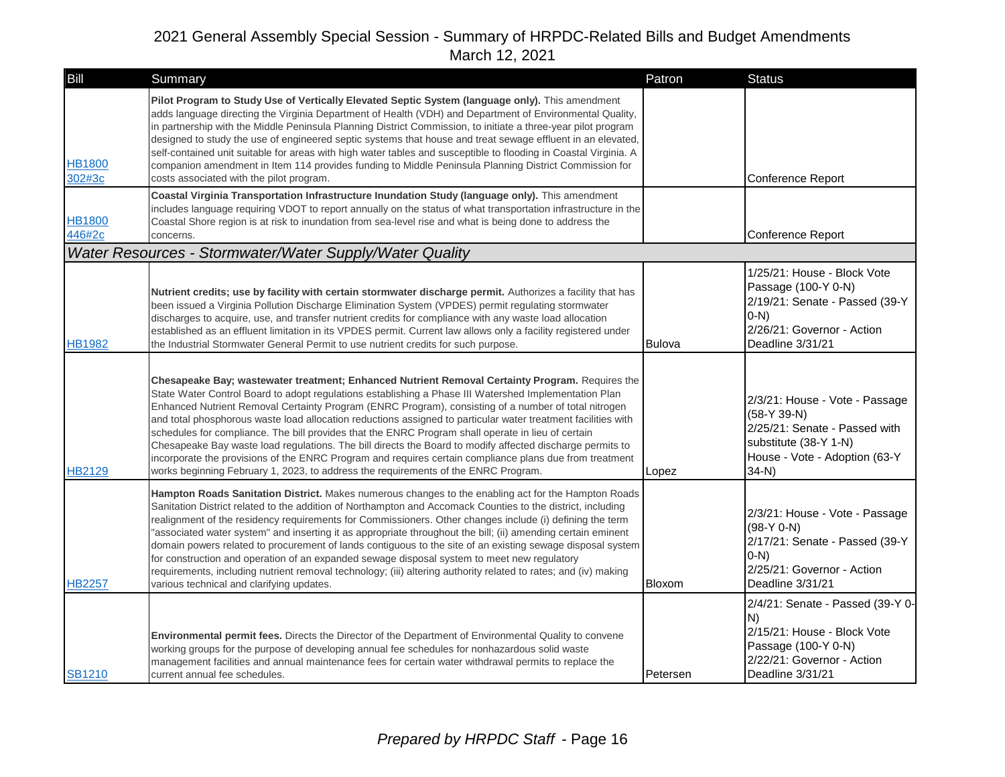| Bill                    | Summary                                                                                                                                                                                                                                                                                                                                                                                                                                                                                                                                                                                                                                                                                                                                                                                                                                               | Patron        | <b>Status</b>                                                                                                                                        |
|-------------------------|-------------------------------------------------------------------------------------------------------------------------------------------------------------------------------------------------------------------------------------------------------------------------------------------------------------------------------------------------------------------------------------------------------------------------------------------------------------------------------------------------------------------------------------------------------------------------------------------------------------------------------------------------------------------------------------------------------------------------------------------------------------------------------------------------------------------------------------------------------|---------------|------------------------------------------------------------------------------------------------------------------------------------------------------|
| HB1800<br>302#3c        | Pilot Program to Study Use of Vertically Elevated Septic System (language only). This amendment<br>adds language directing the Virginia Department of Health (VDH) and Department of Environmental Quality,<br>in partnership with the Middle Peninsula Planning District Commission, to initiate a three-year pilot program<br>designed to study the use of engineered septic systems that house and treat sewage effluent in an elevated,<br>self-contained unit suitable for areas with high water tables and susceptible to flooding in Coastal Virginia. A<br>companion amendment in Item 114 provides funding to Middle Peninsula Planning District Commission for<br>costs associated with the pilot program.                                                                                                                                  |               | Conference Report                                                                                                                                    |
| <b>HB1800</b><br>446#2c | Coastal Virginia Transportation Infrastructure Inundation Study (language only). This amendment<br>includes language requiring VDOT to report annually on the status of what transportation infrastructure in the<br>Coastal Shore region is at risk to inundation from sea-level rise and what is being done to address the<br>concerns.                                                                                                                                                                                                                                                                                                                                                                                                                                                                                                             |               | Conference Report                                                                                                                                    |
|                         | Water Resources - Stormwater/Water Supply/Water Quality                                                                                                                                                                                                                                                                                                                                                                                                                                                                                                                                                                                                                                                                                                                                                                                               |               |                                                                                                                                                      |
| <b>HB1982</b>           | Nutrient credits; use by facility with certain stormwater discharge permit. Authorizes a facility that has<br>been issued a Virginia Pollution Discharge Elimination System (VPDES) permit regulating stormwater<br>discharges to acquire, use, and transfer nutrient credits for compliance with any waste load allocation<br>established as an effluent limitation in its VPDES permit. Current law allows only a facility registered under<br>the Industrial Stormwater General Permit to use nutrient credits for such purpose.                                                                                                                                                                                                                                                                                                                   | <b>Bulova</b> | 1/25/21: House - Block Vote<br>Passage (100-Y 0-N)<br>2/19/21: Senate - Passed (39-Y<br>$O-N$<br>2/26/21: Governor - Action<br>Deadline 3/31/21      |
| HB2129                  | Chesapeake Bay; wastewater treatment; Enhanced Nutrient Removal Certainty Program. Requires the<br>State Water Control Board to adopt regulations establishing a Phase III Watershed Implementation Plan<br>Enhanced Nutrient Removal Certainty Program (ENRC Program), consisting of a number of total nitrogen<br>and total phosphorous waste load allocation reductions assigned to particular water treatment facilities with<br>schedules for compliance. The bill provides that the ENRC Program shall operate in lieu of certain<br>Chesapeake Bay waste load regulations. The bill directs the Board to modify affected discharge permits to<br>incorporate the provisions of the ENRC Program and requires certain compliance plans due from treatment<br>works beginning February 1, 2023, to address the requirements of the ENRC Program. | Lopez         | 2/3/21: House - Vote - Passage<br>$(58-Y 39-N)$<br>2/25/21: Senate - Passed with<br>substitute (38-Y 1-N)<br>House - Vote - Adoption (63-Y<br>$34-N$ |
| <b>HB2257</b>           | Hampton Roads Sanitation District. Makes numerous changes to the enabling act for the Hampton Roads<br>Sanitation District related to the addition of Northampton and Accomack Counties to the district, including<br>realignment of the residency requirements for Commissioners. Other changes include (i) defining the term<br>"associated water system" and inserting it as appropriate throughout the bill; (ii) amending certain eminent<br>domain powers related to procurement of lands contiguous to the site of an existing sewage disposal system<br>for construction and operation of an expanded sewage disposal system to meet new regulatory<br>requirements, including nutrient removal technology; (iii) altering authority related to rates; and (iv) making<br>various technical and clarifying updates.                           | Bloxom        | 2/3/21: House - Vote - Passage<br>$(98-Y 0-N)$<br>2/17/21: Senate - Passed (39-Y<br>$(0-N)$<br>2/25/21: Governor - Action<br>Deadline 3/31/21        |
| <b>SB1210</b>           | <b>Environmental permit fees.</b> Directs the Director of the Department of Environmental Quality to convene<br>working groups for the purpose of developing annual fee schedules for nonhazardous solid waste<br>management facilities and annual maintenance fees for certain water withdrawal permits to replace the<br>current annual fee schedules.                                                                                                                                                                                                                                                                                                                                                                                                                                                                                              | Petersen      | 2/4/21: Senate - Passed (39-Y 0-<br>IN)<br>2/15/21: House - Block Vote<br>Passage (100-Y 0-N)<br>2/22/21: Governor - Action<br>Deadline 3/31/21      |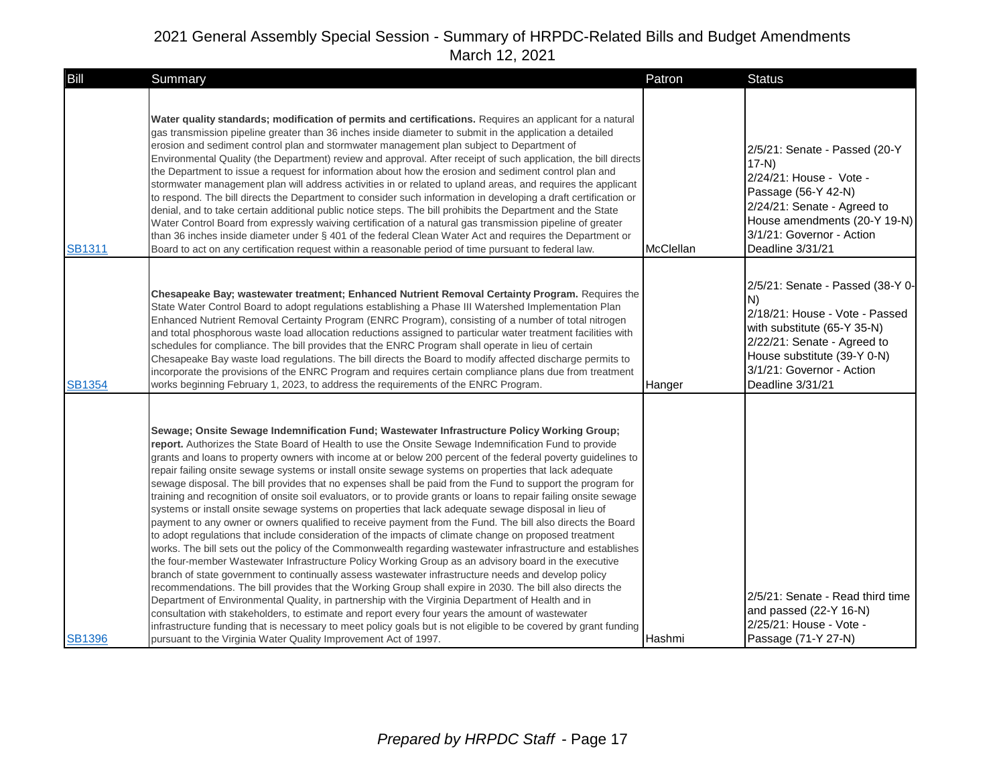| Bill          | Summary                                                                                                                                                                                                                                                                                                                                                                                                                                                                                                                                                                                                                                                                                                                                                                                                                                                                                                                                                                                                                                                                                                                                                                                                                                                                                                                                                                                                                                                                                                                                                                                                                                                                                                                                                                                                                                      | Patron           | <b>Status</b>                                                                                                                                                                                                           |
|---------------|----------------------------------------------------------------------------------------------------------------------------------------------------------------------------------------------------------------------------------------------------------------------------------------------------------------------------------------------------------------------------------------------------------------------------------------------------------------------------------------------------------------------------------------------------------------------------------------------------------------------------------------------------------------------------------------------------------------------------------------------------------------------------------------------------------------------------------------------------------------------------------------------------------------------------------------------------------------------------------------------------------------------------------------------------------------------------------------------------------------------------------------------------------------------------------------------------------------------------------------------------------------------------------------------------------------------------------------------------------------------------------------------------------------------------------------------------------------------------------------------------------------------------------------------------------------------------------------------------------------------------------------------------------------------------------------------------------------------------------------------------------------------------------------------------------------------------------------------|------------------|-------------------------------------------------------------------------------------------------------------------------------------------------------------------------------------------------------------------------|
| <b>SB1311</b> | Water quality standards; modification of permits and certifications. Requires an applicant for a natural<br>gas transmission pipeline greater than 36 inches inside diameter to submit in the application a detailed<br>erosion and sediment control plan and stormwater management plan subject to Department of<br>Environmental Quality (the Department) review and approval. After receipt of such application, the bill directs<br>the Department to issue a request for information about how the erosion and sediment control plan and<br>stormwater management plan will address activities in or related to upland areas, and requires the applicant<br>to respond. The bill directs the Department to consider such information in developing a draft certification or<br>denial, and to take certain additional public notice steps. The bill prohibits the Department and the State<br>Water Control Board from expressly waiving certification of a natural gas transmission pipeline of greater<br>than 36 inches inside diameter under § 401 of the federal Clean Water Act and requires the Department or<br>Board to act on any certification request within a reasonable period of time pursuant to federal law.                                                                                                                                                                                                                                                                                                                                                                                                                                                                                                                                                                                                           | <b>McClellan</b> | 2/5/21: Senate - Passed (20-Y<br>$17-N$<br>2/24/21: House - Vote -<br>Passage (56-Y 42-N)<br>2/24/21: Senate - Agreed to<br>House amendments (20-Y 19-N)<br>3/1/21: Governor - Action<br>Deadline 3/31/21               |
| <b>SB1354</b> | Chesapeake Bay; wastewater treatment; Enhanced Nutrient Removal Certainty Program. Requires the<br>State Water Control Board to adopt regulations establishing a Phase III Watershed Implementation Plan<br>Enhanced Nutrient Removal Certainty Program (ENRC Program), consisting of a number of total nitrogen<br>and total phosphorous waste load allocation reductions assigned to particular water treatment facilities with<br>schedules for compliance. The bill provides that the ENRC Program shall operate in lieu of certain<br>Chesapeake Bay waste load regulations. The bill directs the Board to modify affected discharge permits to<br>incorporate the provisions of the ENRC Program and requires certain compliance plans due from treatment<br>works beginning February 1, 2023, to address the requirements of the ENRC Program.                                                                                                                                                                                                                                                                                                                                                                                                                                                                                                                                                                                                                                                                                                                                                                                                                                                                                                                                                                                        | Hanger           | 2/5/21: Senate - Passed (38-Y 0-<br>IN)<br>2/18/21: House - Vote - Passed<br>with substitute (65-Y 35-N)<br>2/22/21: Senate - Agreed to<br>House substitute (39-Y 0-N)<br>3/1/21: Governor - Action<br>Deadline 3/31/21 |
| <b>SB1396</b> | Sewage; Onsite Sewage Indemnification Fund; Wastewater Infrastructure Policy Working Group;<br>report. Authorizes the State Board of Health to use the Onsite Sewage Indemnification Fund to provide<br>grants and loans to property owners with income at or below 200 percent of the federal poverty guidelines to<br>repair failing onsite sewage systems or install onsite sewage systems on properties that lack adequate<br>sewage disposal. The bill provides that no expenses shall be paid from the Fund to support the program for<br>training and recognition of onsite soil evaluators, or to provide grants or loans to repair failing onsite sewage<br>systems or install onsite sewage systems on properties that lack adequate sewage disposal in lieu of<br>payment to any owner or owners qualified to receive payment from the Fund. The bill also directs the Board<br>to adopt regulations that include consideration of the impacts of climate change on proposed treatment<br>works. The bill sets out the policy of the Commonwealth regarding wastewater infrastructure and establishes<br>the four-member Wastewater Infrastructure Policy Working Group as an advisory board in the executive<br>branch of state government to continually assess wastewater infrastructure needs and develop policy<br>recommendations. The bill provides that the Working Group shall expire in 2030. The bill also directs the<br>Department of Environmental Quality, in partnership with the Virginia Department of Health and in<br>consultation with stakeholders, to estimate and report every four years the amount of wastewater<br>infrastructure funding that is necessary to meet policy goals but is not eligible to be covered by grant funding<br>pursuant to the Virginia Water Quality Improvement Act of 1997. | l Hashmi         | 2/5/21: Senate - Read third time<br>and passed (22-Y 16-N)<br>2/25/21: House - Vote -<br>Passage (71-Y 27-N)                                                                                                            |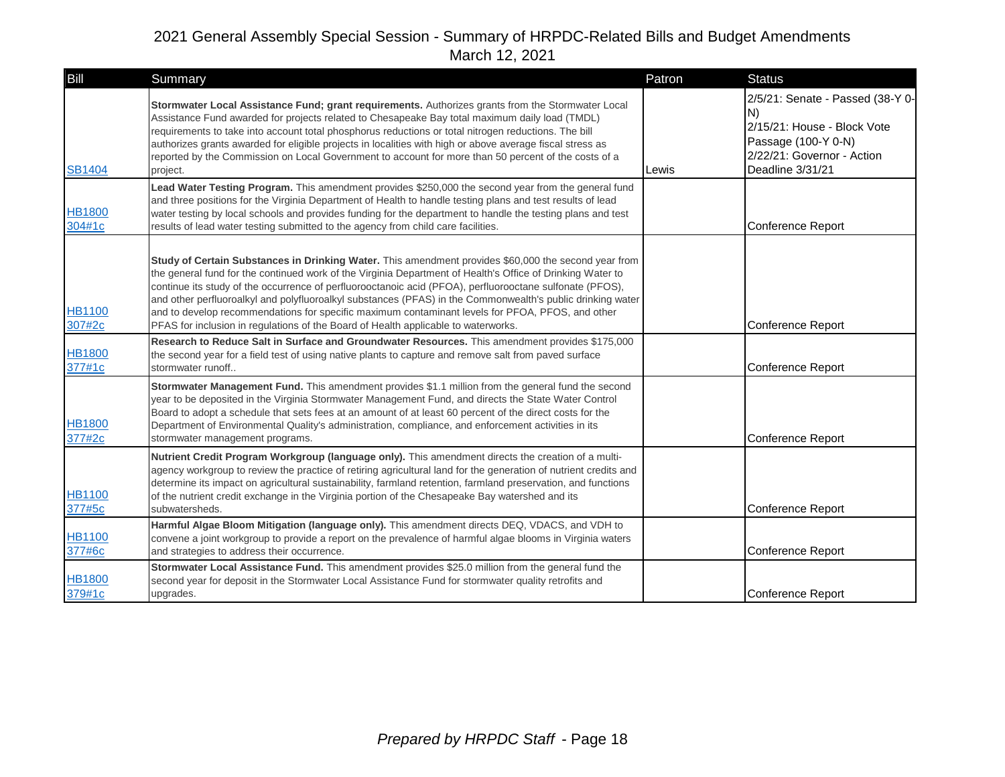| Bill                    | Summary                                                                                                                                                                                                                                                                                                                                                                                                                                                                                                                                                                                                                                | Patron | <b>Status</b>                                                                                                                                  |
|-------------------------|----------------------------------------------------------------------------------------------------------------------------------------------------------------------------------------------------------------------------------------------------------------------------------------------------------------------------------------------------------------------------------------------------------------------------------------------------------------------------------------------------------------------------------------------------------------------------------------------------------------------------------------|--------|------------------------------------------------------------------------------------------------------------------------------------------------|
| <b>SB1404</b>           | Stormwater Local Assistance Fund; grant requirements. Authorizes grants from the Stormwater Local<br>Assistance Fund awarded for projects related to Chesapeake Bay total maximum daily load (TMDL)<br>requirements to take into account total phosphorus reductions or total nitrogen reductions. The bill<br>authorizes grants awarded for eligible projects in localities with high or above average fiscal stress as<br>reported by the Commission on Local Government to account for more than 50 percent of the costs of a<br>project.                                                                                           | Lewis  | 2/5/21: Senate - Passed (38-Y 0-<br>N)<br>2/15/21: House - Block Vote<br>Passage (100-Y 0-N)<br>2/22/21: Governor - Action<br>Deadline 3/31/21 |
| <b>HB1800</b><br>304#1c | Lead Water Testing Program. This amendment provides \$250,000 the second year from the general fund<br>and three positions for the Virginia Department of Health to handle testing plans and test results of lead<br>water testing by local schools and provides funding for the department to handle the testing plans and test<br>results of lead water testing submitted to the agency from child care facilities.                                                                                                                                                                                                                  |        | Conference Report                                                                                                                              |
| <b>HB1100</b><br>307#2c | Study of Certain Substances in Drinking Water. This amendment provides \$60,000 the second year from<br>the general fund for the continued work of the Virginia Department of Health's Office of Drinking Water to<br>continue its study of the occurrence of perfluorooctanoic acid (PFOA), perfluorooctane sulfonate (PFOS),<br>and other perfluoroalkyl and polyfluoroalkyl substances (PFAS) in the Commonwealth's public drinking water<br>and to develop recommendations for specific maximum contaminant levels for PFOA, PFOS, and other<br>PFAS for inclusion in regulations of the Board of Health applicable to waterworks. |        | Conference Report                                                                                                                              |
| <b>HB1800</b><br>377#1c | Research to Reduce Salt in Surface and Groundwater Resources. This amendment provides \$175,000<br>the second year for a field test of using native plants to capture and remove salt from paved surface<br>stormwater runoff                                                                                                                                                                                                                                                                                                                                                                                                          |        | Conference Report                                                                                                                              |
| <b>HB1800</b><br>377#2c | Stormwater Management Fund. This amendment provides \$1.1 million from the general fund the second<br>year to be deposited in the Virginia Stormwater Management Fund, and directs the State Water Control<br>Board to adopt a schedule that sets fees at an amount of at least 60 percent of the direct costs for the<br>Department of Environmental Quality's administration, compliance, and enforcement activities in its<br>stormwater management programs.                                                                                                                                                                       |        | Conference Report                                                                                                                              |
| <b>HB1100</b><br>377#5c | Nutrient Credit Program Workgroup (language only). This amendment directs the creation of a multi-<br>agency workgroup to review the practice of retiring agricultural land for the generation of nutrient credits and<br>determine its impact on agricultural sustainability, farmland retention, farmland preservation, and functions<br>of the nutrient credit exchange in the Virginia portion of the Chesapeake Bay watershed and its<br>subwatersheds.                                                                                                                                                                           |        | Conference Report                                                                                                                              |
| <b>HB1100</b><br>377#6c | Harmful Algae Bloom Mitigation (language only). This amendment directs DEQ, VDACS, and VDH to<br>convene a joint workgroup to provide a report on the prevalence of harmful algae blooms in Virginia waters<br>and strategies to address their occurrence.                                                                                                                                                                                                                                                                                                                                                                             |        | Conference Report                                                                                                                              |
| <b>HB1800</b><br>379#1c | Stormwater Local Assistance Fund. This amendment provides \$25.0 million from the general fund the<br>second year for deposit in the Stormwater Local Assistance Fund for stormwater quality retrofits and<br>upgrades.                                                                                                                                                                                                                                                                                                                                                                                                                |        | Conference Report                                                                                                                              |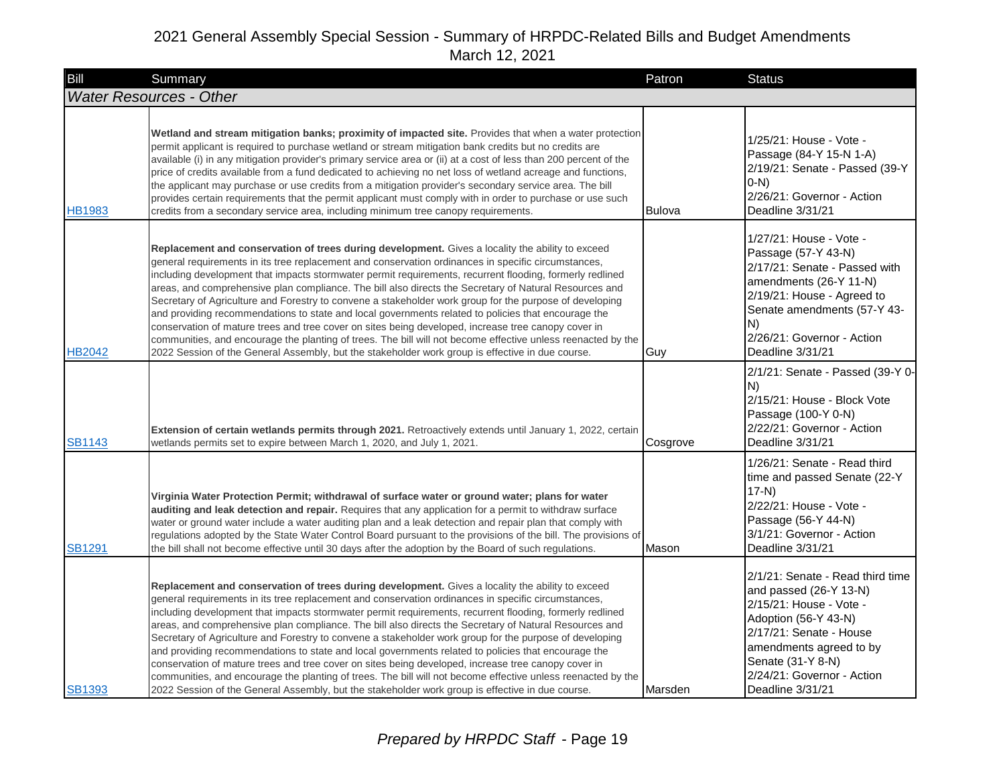| Bill          | Summary                                                                                                                                                                                                                                                                                                                                                                                                                                                                                                                                                                                                                                                                                                                                                                                                                                                                                                                                                                    | Patron        | <b>Status</b>                                                                                                                                                                                                                              |
|---------------|----------------------------------------------------------------------------------------------------------------------------------------------------------------------------------------------------------------------------------------------------------------------------------------------------------------------------------------------------------------------------------------------------------------------------------------------------------------------------------------------------------------------------------------------------------------------------------------------------------------------------------------------------------------------------------------------------------------------------------------------------------------------------------------------------------------------------------------------------------------------------------------------------------------------------------------------------------------------------|---------------|--------------------------------------------------------------------------------------------------------------------------------------------------------------------------------------------------------------------------------------------|
|               | <b>Water Resources - Other</b>                                                                                                                                                                                                                                                                                                                                                                                                                                                                                                                                                                                                                                                                                                                                                                                                                                                                                                                                             |               |                                                                                                                                                                                                                                            |
| <b>HB1983</b> | Wetland and stream mitigation banks; proximity of impacted site. Provides that when a water protection<br>permit applicant is required to purchase wetland or stream mitigation bank credits but no credits are<br>available (i) in any mitigation provider's primary service area or (ii) at a cost of less than 200 percent of the<br>price of credits available from a fund dedicated to achieving no net loss of wetland acreage and functions,<br>the applicant may purchase or use credits from a mitigation provider's secondary service area. The bill<br>provides certain requirements that the permit applicant must comply with in order to purchase or use such<br>credits from a secondary service area, including minimum tree canopy requirements.                                                                                                                                                                                                          | <b>Bulova</b> | 1/25/21: House - Vote -<br>Passage (84-Y 15-N 1-A)<br>2/19/21: Senate - Passed (39-Y<br>$(0-N)$<br>2/26/21: Governor - Action<br>Deadline 3/31/21                                                                                          |
| <b>HB2042</b> | Replacement and conservation of trees during development. Gives a locality the ability to exceed<br>general requirements in its tree replacement and conservation ordinances in specific circumstances,<br>including development that impacts stormwater permit requirements, recurrent flooding, formerly redlined<br>areas, and comprehensive plan compliance. The bill also directs the Secretary of Natural Resources and<br>Secretary of Agriculture and Forestry to convene a stakeholder work group for the purpose of developing<br>and providing recommendations to state and local governments related to policies that encourage the<br>conservation of mature trees and tree cover on sites being developed, increase tree canopy cover in<br>communities, and encourage the planting of trees. The bill will not become effective unless reenacted by the<br>2022 Session of the General Assembly, but the stakeholder work group is effective in due course. | Guy           | 1/27/21: House - Vote -<br>Passage (57-Y 43-N)<br>2/17/21: Senate - Passed with<br>amendments (26-Y 11-N)<br>2/19/21: House - Agreed to<br>Senate amendments (57-Y 43-<br>N)<br>2/26/21: Governor - Action<br>Deadline 3/31/21             |
| SB1143        | Extension of certain wetlands permits through 2021. Retroactively extends until January 1, 2022, certain<br>wetlands permits set to expire between March 1, 2020, and July 1, 2021.                                                                                                                                                                                                                                                                                                                                                                                                                                                                                                                                                                                                                                                                                                                                                                                        | Cosgrove      | 2/1/21: Senate - Passed (39-Y 0-<br>IN)<br>2/15/21: House - Block Vote<br>Passage (100-Y 0-N)<br>2/22/21: Governor - Action<br>Deadline 3/31/21                                                                                            |
| SB1291        | Virginia Water Protection Permit; withdrawal of surface water or ground water; plans for water<br>auditing and leak detection and repair. Requires that any application for a permit to withdraw surface<br>water or ground water include a water auditing plan and a leak detection and repair plan that comply with<br>regulations adopted by the State Water Control Board pursuant to the provisions of the bill. The provisions of<br>the bill shall not become effective until 30 days after the adoption by the Board of such regulations.                                                                                                                                                                                                                                                                                                                                                                                                                          | Mason         | 1/26/21: Senate - Read third<br>time and passed Senate (22-Y<br>$17-N$<br>2/22/21: House - Vote -<br>Passage (56-Y 44-N)<br>3/1/21: Governor - Action<br>Deadline 3/31/21                                                                  |
| <b>SB1393</b> | Replacement and conservation of trees during development. Gives a locality the ability to exceed<br>general requirements in its tree replacement and conservation ordinances in specific circumstances,<br>including development that impacts stormwater permit requirements, recurrent flooding, formerly redlined<br>areas, and comprehensive plan compliance. The bill also directs the Secretary of Natural Resources and<br>Secretary of Agriculture and Forestry to convene a stakeholder work group for the purpose of developing<br>and providing recommendations to state and local governments related to policies that encourage the<br>conservation of mature trees and tree cover on sites being developed, increase tree canopy cover in<br>communities, and encourage the planting of trees. The bill will not become effective unless reenacted by the<br>2022 Session of the General Assembly, but the stakeholder work group is effective in due course. | Marsden       | 2/1/21: Senate - Read third time<br>and passed (26-Y 13-N)<br>2/15/21: House - Vote -<br>Adoption (56-Y 43-N)<br>2/17/21: Senate - House<br>amendments agreed to by<br>Senate (31-Y 8-N)<br>2/24/21: Governor - Action<br>Deadline 3/31/21 |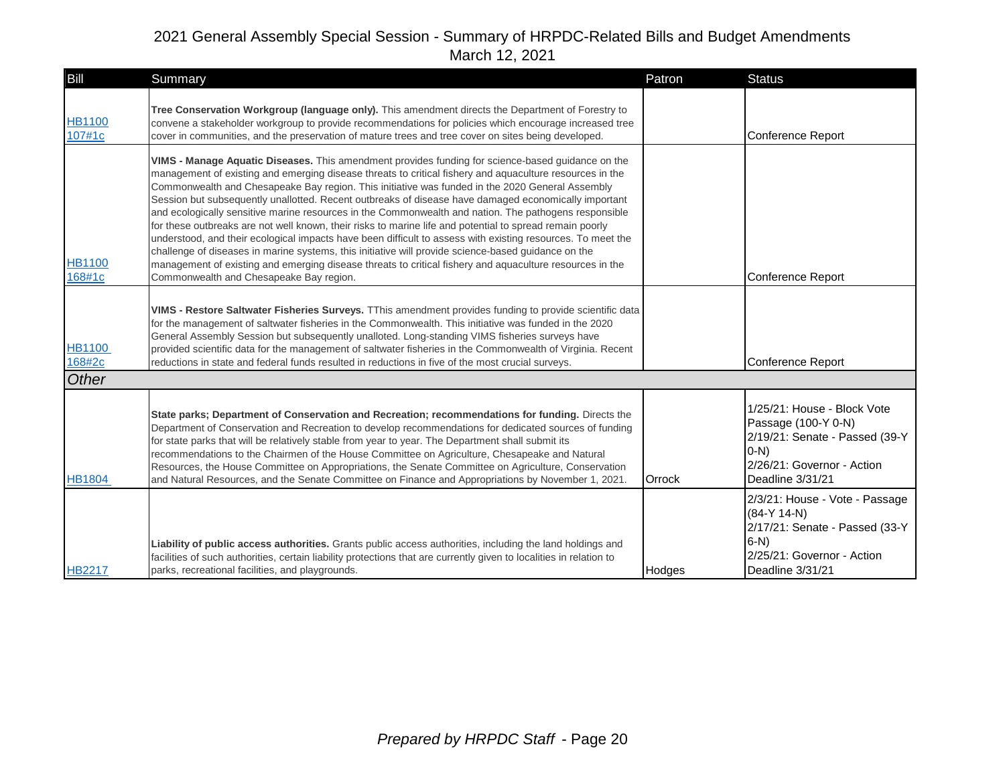| Bill                             | Summary                                                                                                                                                                                                                                                                                                                                                                                                                                                                                                                                                                                                                                                                                                                                                                                                                                                                                                                                                                                                                    | Patron | <b>Status</b>                                                                                                                                     |
|----------------------------------|----------------------------------------------------------------------------------------------------------------------------------------------------------------------------------------------------------------------------------------------------------------------------------------------------------------------------------------------------------------------------------------------------------------------------------------------------------------------------------------------------------------------------------------------------------------------------------------------------------------------------------------------------------------------------------------------------------------------------------------------------------------------------------------------------------------------------------------------------------------------------------------------------------------------------------------------------------------------------------------------------------------------------|--------|---------------------------------------------------------------------------------------------------------------------------------------------------|
| <b>HB1100</b><br>107#1c          | Tree Conservation Workgroup (language only). This amendment directs the Department of Forestry to<br>convene a stakeholder workgroup to provide recommendations for policies which encourage increased tree<br>cover in communities, and the preservation of mature trees and tree cover on sites being developed.                                                                                                                                                                                                                                                                                                                                                                                                                                                                                                                                                                                                                                                                                                         |        | Conference Report                                                                                                                                 |
| <b>HB1100</b><br>168#1c          | VIMS - Manage Aquatic Diseases. This amendment provides funding for science-based guidance on the<br>management of existing and emerging disease threats to critical fishery and aquaculture resources in the<br>Commonwealth and Chesapeake Bay region. This initiative was funded in the 2020 General Assembly<br>Session but subsequently unallotted. Recent outbreaks of disease have damaged economically important<br>and ecologically sensitive marine resources in the Commonwealth and nation. The pathogens responsible<br>for these outbreaks are not well known, their risks to marine life and potential to spread remain poorly<br>understood, and their ecological impacts have been difficult to assess with existing resources. To meet the<br>challenge of diseases in marine systems, this initiative will provide science-based guidance on the<br>management of existing and emerging disease threats to critical fishery and aquaculture resources in the<br>Commonwealth and Chesapeake Bay region. |        | Conference Report                                                                                                                                 |
| <b>HB1100</b><br>168#2c<br>Other | VIMS - Restore Saltwater Fisheries Surveys. TThis amendment provides funding to provide scientific data<br>for the management of saltwater fisheries in the Commonwealth. This initiative was funded in the 2020<br>General Assembly Session but subsequently unalloted. Long-standing VIMS fisheries surveys have<br>provided scientific data for the management of saltwater fisheries in the Commonwealth of Virginia. Recent<br>reductions in state and federal funds resulted in reductions in five of the most crucial surveys.                                                                                                                                                                                                                                                                                                                                                                                                                                                                                      |        | Conference Report                                                                                                                                 |
| <b>HB1804</b>                    | State parks; Department of Conservation and Recreation; recommendations for funding. Directs the<br>Department of Conservation and Recreation to develop recommendations for dedicated sources of funding<br>for state parks that will be relatively stable from year to year. The Department shall submit its<br>recommendations to the Chairmen of the House Committee on Agriculture, Chesapeake and Natural<br>Resources, the House Committee on Appropriations, the Senate Committee on Agriculture, Conservation<br>and Natural Resources, and the Senate Committee on Finance and Appropriations by November 1, 2021.                                                                                                                                                                                                                                                                                                                                                                                               | Orrock | 1/25/21: House - Block Vote<br>Passage (100-Y 0-N)<br>2/19/21: Senate - Passed (39-Y<br>$O-N$ )<br>2/26/21: Governor - Action<br>Deadline 3/31/21 |
| <b>HB2217</b>                    | Liability of public access authorities. Grants public access authorities, including the land holdings and<br>facilities of such authorities, certain liability protections that are currently given to localities in relation to<br>parks, recreational facilities, and playgrounds.                                                                                                                                                                                                                                                                                                                                                                                                                                                                                                                                                                                                                                                                                                                                       | Hodges | 2/3/21: House - Vote - Passage<br>$(84-Y 14-N)$<br>2/17/21: Senate - Passed (33-Y<br>$6-N$<br>2/25/21: Governor - Action<br>Deadline 3/31/21      |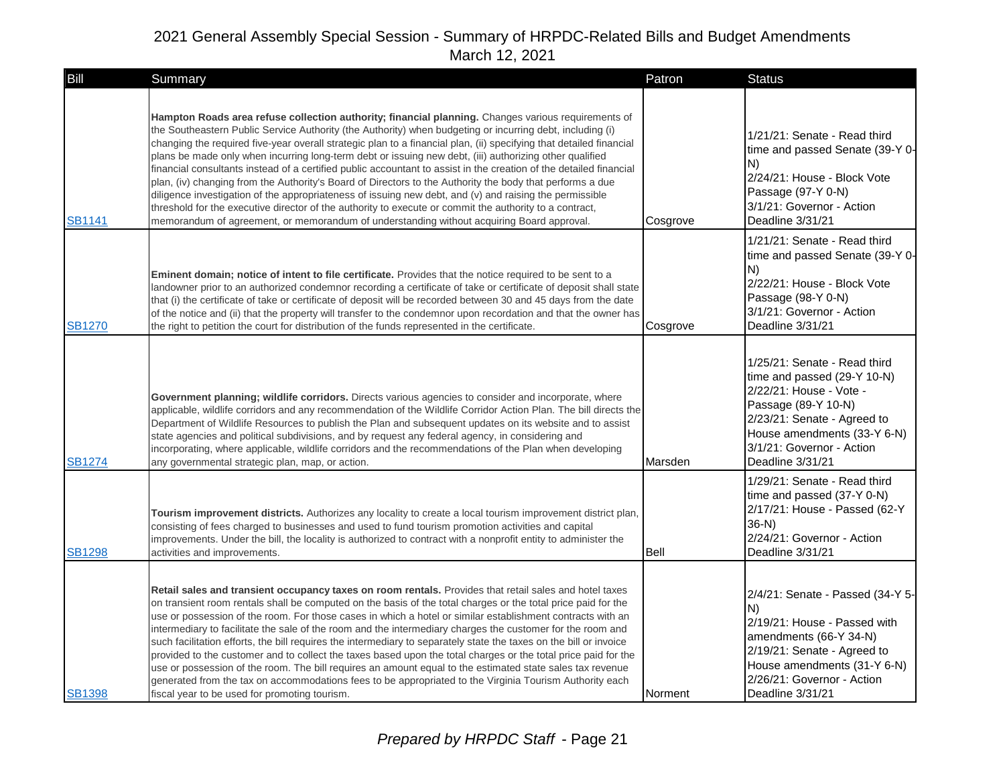| Bill          | Summary                                                                                                                                                                                                                                                                                                                                                                                                                                                                                                                                                                                                                                                                                                                                                                                                                                                                                                                                                                                                  | Patron   | <b>Status</b>                                                                                                                                                                                                                |
|---------------|----------------------------------------------------------------------------------------------------------------------------------------------------------------------------------------------------------------------------------------------------------------------------------------------------------------------------------------------------------------------------------------------------------------------------------------------------------------------------------------------------------------------------------------------------------------------------------------------------------------------------------------------------------------------------------------------------------------------------------------------------------------------------------------------------------------------------------------------------------------------------------------------------------------------------------------------------------------------------------------------------------|----------|------------------------------------------------------------------------------------------------------------------------------------------------------------------------------------------------------------------------------|
| SB1141        | Hampton Roads area refuse collection authority; financial planning. Changes various requirements of<br>the Southeastern Public Service Authority (the Authority) when budgeting or incurring debt, including (i)<br>changing the required five-year overall strategic plan to a financial plan, (ii) specifying that detailed financial<br>plans be made only when incurring long-term debt or issuing new debt, (iii) authorizing other qualified<br>financial consultants instead of a certified public accountant to assist in the creation of the detailed financial<br>plan, (iv) changing from the Authority's Board of Directors to the Authority the body that performs a due<br>diligence investigation of the appropriateness of issuing new debt, and (v) and raising the permissible<br>threshold for the executive director of the authority to execute or commit the authority to a contract,<br>memorandum of agreement, or memorandum of understanding without acquiring Board approval. | Cosgrove | 1/21/21: Senate - Read third<br>time and passed Senate (39-Y 0-<br>IN)<br>2/24/21: House - Block Vote<br>Passage (97-Y 0-N)<br>3/1/21: Governor - Action<br>Deadline 3/31/21                                                 |
| <b>SB1270</b> | <b>Eminent domain; notice of intent to file certificate.</b> Provides that the notice required to be sent to a<br>landowner prior to an authorized condemnor recording a certificate of take or certificate of deposit shall state<br>that (i) the certificate of take or certificate of deposit will be recorded between 30 and 45 days from the date<br>of the notice and (ii) that the property will transfer to the condemnor upon recordation and that the owner has<br>the right to petition the court for distribution of the funds represented in the certificate.                                                                                                                                                                                                                                                                                                                                                                                                                               | Cosgrove | 1/21/21: Senate - Read third<br>time and passed Senate (39-Y 0-<br>N)<br>2/22/21: House - Block Vote<br>Passage (98-Y 0-N)<br>3/1/21: Governor - Action<br>Deadline 3/31/21                                                  |
| <b>SB1274</b> | Government planning; wildlife corridors. Directs various agencies to consider and incorporate, where<br>applicable, wildlife corridors and any recommendation of the Wildlife Corridor Action Plan. The bill directs the<br>Department of Wildlife Resources to publish the Plan and subsequent updates on its website and to assist<br>state agencies and political subdivisions, and by request any federal agency, in considering and<br>incorporating, where applicable, wildlife corridors and the recommendations of the Plan when developing<br>any governmental strategic plan, map, or action.                                                                                                                                                                                                                                                                                                                                                                                                  | Marsden  | 1/25/21: Senate - Read third<br>time and passed (29-Y 10-N)<br>2/22/21: House - Vote -<br>Passage (89-Y 10-N)<br>2/23/21: Senate - Agreed to<br>House amendments (33-Y 6-N)<br>3/1/21: Governor - Action<br>Deadline 3/31/21 |
| <b>SB1298</b> | Tourism improvement districts. Authorizes any locality to create a local tourism improvement district plan,<br>consisting of fees charged to businesses and used to fund tourism promotion activities and capital<br>improvements. Under the bill, the locality is authorized to contract with a nonprofit entity to administer the<br>activities and improvements.                                                                                                                                                                                                                                                                                                                                                                                                                                                                                                                                                                                                                                      | Bell     | 1/29/21: Senate - Read third<br>time and passed (37-Y 0-N)<br>2/17/21: House - Passed (62-Y<br>$36-N$<br>2/24/21: Governor - Action<br>Deadline 3/31/21                                                                      |
| <b>SB1398</b> | Retail sales and transient occupancy taxes on room rentals. Provides that retail sales and hotel taxes<br>on transient room rentals shall be computed on the basis of the total charges or the total price paid for the<br>use or possession of the room. For those cases in which a hotel or similar establishment contracts with an<br>intermediary to facilitate the sale of the room and the intermediary charges the customer for the room and<br>such facilitation efforts, the bill requires the intermediary to separately state the taxes on the bill or invoice<br>provided to the customer and to collect the taxes based upon the total charges or the total price paid for the<br>use or possession of the room. The bill requires an amount equal to the estimated state sales tax revenue<br>generated from the tax on accommodations fees to be appropriated to the Virginia Tourism Authority each<br>fiscal year to be used for promoting tourism.                                     | Norment  | 2/4/21: Senate - Passed (34-Y 5-<br>N)<br>2/19/21: House - Passed with<br>amendments (66-Y 34-N)<br>2/19/21: Senate - Agreed to<br>House amendments (31-Y 6-N)<br>2/26/21: Governor - Action<br>Deadline 3/31/21             |